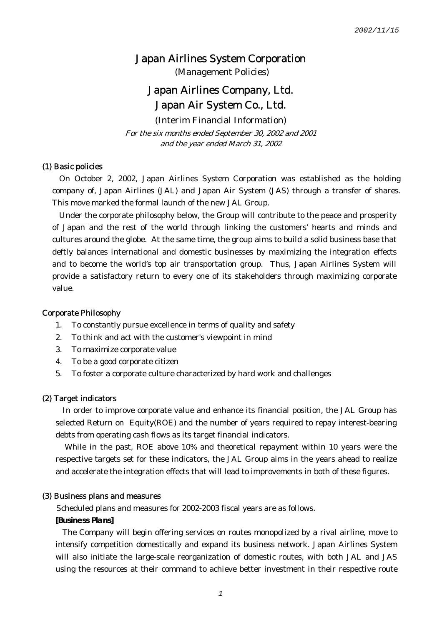(Management Policies)

# Japan Airlines Company, Ltd. Japan Air System Co., Ltd.

(Interim Financial Information) For the six months ended September 30, 2002 and 2001 and the year ended March 31, 2002

#### (1) Basic policies

On October 2, 2002, Japan Airlines System Corporation was established as the holding company of, Japan Airlines (JAL) and Japan Air System (JAS) through a transfer of shares. This move marked the formal launch of the new JAL Group.

Under the corporate philosophy below, the Group will contribute to the peace and prosperity of Japan and the rest of the world through linking the customers' hearts and minds and cultures around the globe. At the same time, the group aims to build a solid business base that deftly balances international and domestic businesses by maximizing the integration effects and to become the world's top air transportation group. Thus, Japan Airlines System will provide a satisfactory return to every one of its stakeholders through maximizing corporate value.

#### Corporate Philosophy

- 1. To constantly pursue excellence in terms of quality and safety
- 2. To think and act with the customer's viewpoint in mind
- 3. To maximize corporate value
- 4. To be a good corporate citizen
- 5. To foster a corporate culture characterized by hard work and challenges

#### (2) Target indicators

In order to improve corporate value and enhance its financial position, the JAL Group has selected Return on Equity(ROE) and the number of years required to repay interest-bearing debts from operating cash flows as its target financial indicators.

 While in the past, ROE above 10% and theoretical repayment within 10 years were the respective targets set for these indicators, the JAL Group aims in the years ahead to realize and accelerate the integration effects that will lead to improvements in both of these figures.

#### (3) Business plans and measures

Scheduled plans and measures for 2002-2003 fiscal years are as follows.

**[Business Plans]** 

The Company will begin offering services on routes monopolized by a rival airline, move to intensify competition domestically and expand its business network. Japan Airlines System will also initiate the large-scale reorganization of domestic routes, with both JAL and JAS using the resources at their command to achieve better investment in their respective route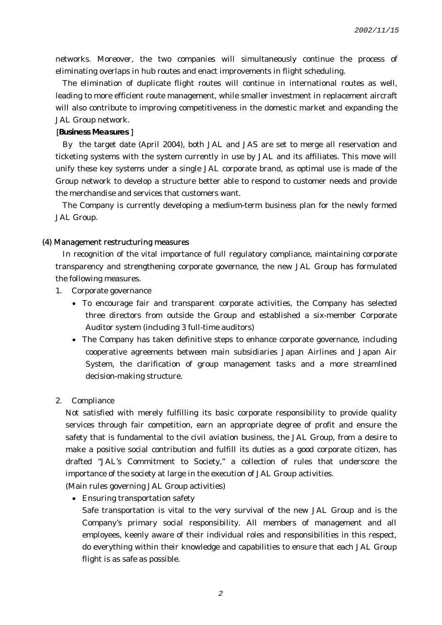networks. Moreover, the two companies will simultaneously continue the process of eliminating overlaps in hub routes and enact improvements in flight scheduling.

The elimination of duplicate flight routes will continue in international routes as well, leading to more efficient route management, while smaller investment in replacement aircraft will also contribute to improving competitiveness in the domestic market and expanding the JAL Group network.

[**Business Measures** ]

By the target date (April 2004), both JAL and JAS are set to merge all reservation and ticketing systems with the system currently in use by JAL and its affiliates. This move will unify these key systems under a single JAL corporate brand, as optimal use is made of the Group network to develop a structure better able to respond to customer needs and provide the merchandise and services that customers want.

The Company is currently developing a medium-term business plan for the newly formed JAL Group.

#### (4) Management restructuring measures

In recognition of the vital importance of full regulatory compliance, maintaining corporate transparency and strengthening corporate governance, the new JAL Group has formulated the following measures.

- 1. Corporate governance
	- To encourage fair and transparent corporate activities, the Company has selected three directors from outside the Group and established a six-member Corporate Auditor system (including 3 full-time auditors)
	- The Company has taken definitive steps to enhance corporate governance, including cooperative agreements between main subsidiaries Japan Airlines and Japan Air System, the clarification of group management tasks and a more streamlined decision-making structure.
- 2. Compliance

Not satisfied with merely fulfilling its basic corporate responsibility to provide quality services through fair competition, earn an appropriate degree of profit and ensure the safety that is fundamental to the civil aviation business, the JAL Group, from a desire to make a positive social contribution and fulfill its duties as a good corporate citizen, has drafted "JAL's Commitment to Society," a collection of rules that underscore the importance of the society at large in the execution of JAL Group activities.

(Main rules governing JAL Group activities)

• Ensuring transportation safety

Safe transportation is vital to the very survival of the new JAL Group and is the Company's primary social responsibility. All members of management and all employees, keenly aware of their individual roles and responsibilities in this respect, do everything within their knowledge and capabilities to ensure that each JAL Group flight is as safe as possible.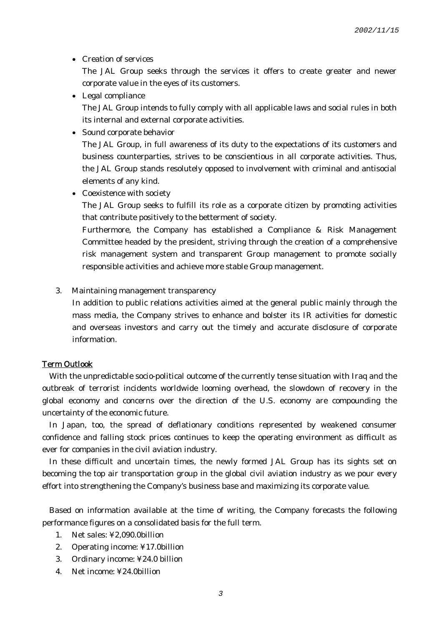• Creation of services

The JAL Group seeks through the services it offers to create greater and newer corporate value in the eyes of its customers.

- Legal compliance The JAL Group intends to fully comply with all applicable laws and social rules in both its internal and external corporate activities.
- Sound corporate behavior

The JAL Group, in full awareness of its duty to the expectations of its customers and business counterparties, strives to be conscientious in all corporate activities. Thus, the JAL Group stands resolutely opposed to involvement with criminal and antisocial elements of any kind.

• Coexistence with society

The JAL Group seeks to fulfill its role as a corporate citizen by promoting activities that contribute positively to the betterment of society.

Furthermore, the Company has established a Compliance & Risk Management Committee headed by the president, striving through the creation of a comprehensive risk management system and transparent Group management to promote socially responsible activities and achieve more stable Group management.

3. Maintaining management transparency

In addition to public relations activities aimed at the general public mainly through the mass media, the Company strives to enhance and bolster its IR activities for domestic and overseas investors and carry out the timely and accurate disclosure of corporate information.

#### Term Outlook

With the unpredictable socio-political outcome of the currently tense situation with Iraq and the outbreak of terrorist incidents worldwide looming overhead, the slowdown of recovery in the global economy and concerns over the direction of the U.S. economy are compounding the uncertainty of the economic future.

In Japan, too, the spread of deflationary conditions represented by weakened consumer confidence and falling stock prices continues to keep the operating environment as difficult as ever for companies in the civil aviation industry.

In these difficult and uncertain times, the newly formed JAL Group has its sights set on becoming the top air transportation group in the global civil aviation industry as we pour every effort into strengthening the Company's business base and maximizing its corporate value.

Based on information available at the time of writing, the Company forecasts the following performance figures on a consolidated basis for the full term.

- 1. Net sales: ¥2,090.0billion
- 2. Operating income: ¥17.0billion
- 3. Ordinary income: ¥24.0 billion
- 4. Net income: ¥24.0billion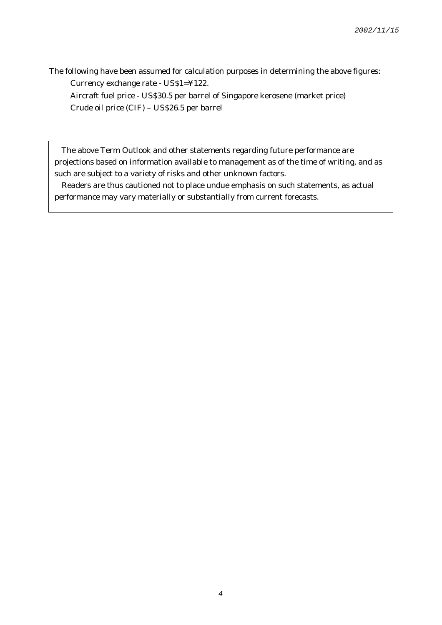The following have been assumed for calculation purposes in determining the above figures: Currency exchange rate - US\$1=¥122. Aircraft fuel price - US\$30.5 per barrel of Singapore kerosene (market price)

Crude oil price (CIF) – US\$26.5 per barrel

The above Term Outlook and other statements regarding future performance are projections based on information available to management as of the time of writing, and as such are subject to a variety of risks and other unknown factors.

Readers are thus cautioned not to place undue emphasis on such statements, as actual performance may vary materially or substantially from current forecasts.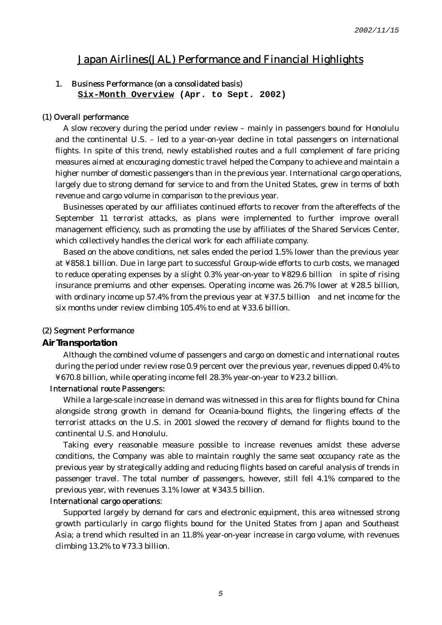# Japan Airlines(JAL) Performance and Financial Highlights

#### 1. Business Performance (on a consolidated basis)

**Six-Month Overview (Apr. to Sept. 2002)** 

#### (1) Overall performance

A slow recovery during the period under review – mainly in passengers bound for Honolulu and the continental U.S. – led to a year-on-year decline in total passengers on international flights. In spite of this trend, newly established routes and a full complement of fare pricing measures aimed at encouraging domestic travel helped the Company to achieve and maintain a higher number of domestic passengers than in the previous year. International cargo operations, largely due to strong demand for service to and from the United States, grew in terms of both revenue and cargo volume in comparison to the previous year.

Businesses operated by our affiliates continued efforts to recover from the aftereffects of the September 11 terrorist attacks, as plans were implemented to further improve overall management efficiency, such as promoting the use by affiliates of the Shared Services Center, which collectively handles the clerical work for each affiliate company.

Based on the above conditions, net sales ended the period 1.5% lower than the previous year at ¥858.1 billion. Due in large part to successful Group-wide efforts to curb costs, we managed to reduce operating expenses by a slight 0.3% year-on-year to ¥829.6 billion in spite of rising insurance premiums and other expenses. Operating income was 26.7% lower at ¥28.5 billion, with ordinary income up 57.4% from the previous year at ¥37.5 billion and net income for the six months under review climbing 105.4% to end at ¥33.6 billion.

#### (2) Segment Performance

#### **Air Transportation**

Although the combined volume of passengers and cargo on domestic and international routes during the period under review rose 0.9 percent over the previous year, revenues dipped 0.4% to ¥670.8 billion, while operating income fell 28.3% year-on-year to ¥23.2 billion.

#### International route Passengers:

While a large-scale increase in demand was witnessed in this area for flights bound for China alongside strong growth in demand for Oceania-bound flights, the lingering effects of the terrorist attacks on the U.S. in 2001 slowed the recovery of demand for flights bound to the continental U.S. and Honolulu.

Taking every reasonable measure possible to increase revenues amidst these adverse conditions, the Company was able to maintain roughly the same seat occupancy rate as the previous year by strategically adding and reducing flights based on careful analysis of trends in passenger travel. The total number of passengers, however, still fell 4.1% compared to the previous year, with revenues 3.1% lower at ¥343.5 billion.

#### International cargo operations:

Supported largely by demand for cars and electronic equipment, this area witnessed strong growth particularly in cargo flights bound for the United States from Japan and Southeast Asia; a trend which resulted in an 11.8% year-on-year increase in cargo volume, with revenues climbing 13.2% to ¥73.3 billion.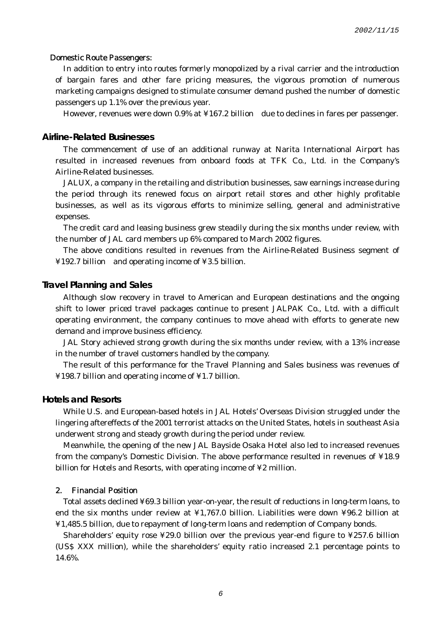#### Domestic Route Passengers:

In addition to entry into routes formerly monopolized by a rival carrier and the introduction of bargain fares and other fare pricing measures, the vigorous promotion of numerous marketing campaigns designed to stimulate consumer demand pushed the number of domestic passengers up 1.1% over the previous year.

However, revenues were down 0.9% at ¥167.2 billion due to declines in fares per passenger.

#### **Airline-Related Businesses**

The commencement of use of an additional runway at Narita International Airport has resulted in increased revenues from onboard foods at TFK Co., Ltd. in the Company's Airline-Related businesses.

JALUX, a company in the retailing and distribution businesses, saw earnings increase during the period through its renewed focus on airport retail stores and other highly profitable businesses, as well as its vigorous efforts to minimize selling, general and administrative expenses.

The credit card and leasing business grew steadily during the six months under review, with the number of JAL card members up 6% compared to March 2002 figures.

The above conditions resulted in revenues from the Airline-Related Business segment of ¥192.7 billion and operating income of ¥3.5 billion.

#### **Travel Planning and Sales**

Although slow recovery in travel to American and European destinations and the ongoing shift to lower priced travel packages continue to present JALPAK Co., Ltd. with a difficult operating environment, the company continues to move ahead with efforts to generate new demand and improve business efficiency.

JAL Story achieved strong growth during the six months under review, with a 13% increase in the number of travel customers handled by the company.

The result of this performance for the Travel Planning and Sales business was revenues of ¥198.7 billion and operating income of ¥1.7 billion.

#### **Hotels and Resorts**

While U.S. and European-based hotels in JAL Hotels' Overseas Division struggled under the lingering aftereffects of the 2001 terrorist attacks on the United States, hotels in southeast Asia underwent strong and steady growth during the period under review.

Meanwhile, the opening of the new JAL Bayside Osaka Hotel also led to increased revenues from the company's Domestic Division. The above performance resulted in revenues of ¥18.9 billion for Hotels and Resorts, with operating income of ¥2 million.

#### 2. Financial Position

Total assets declined ¥69.3 billion year-on-year, the result of reductions in long-term loans, to end the six months under review at ¥1,767.0 billion. Liabilities were down ¥96.2 billion at ¥1,485.5 billion, due to repayment of long-term loans and redemption of Company bonds.

Shareholders' equity rose ¥29.0 billion over the previous year-end figure to ¥257.6 billion (US\$ XXX million), while the shareholders' equity ratio increased 2.1 percentage points to 14.6%.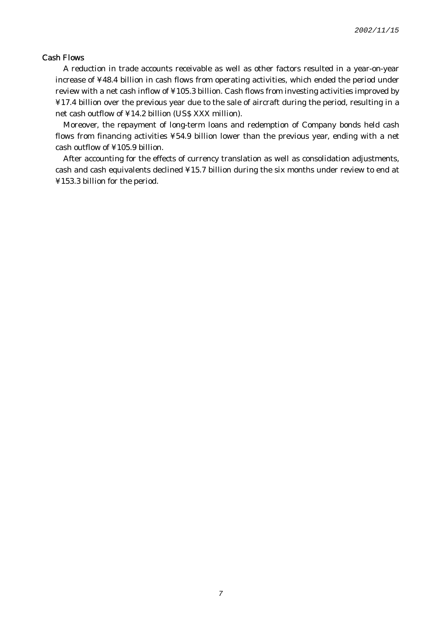### Cash Flows

A reduction in trade accounts receivable as well as other factors resulted in a year-on-year increase of ¥48.4 billion in cash flows from operating activities, which ended the period under review with a net cash inflow of ¥105.3 billion. Cash flows from investing activities improved by ¥17.4 billion over the previous year due to the sale of aircraft during the period, resulting in a net cash outflow of ¥14.2 billion (US\$ XXX million).

Moreover, the repayment of long-term loans and redemption of Company bonds held cash flows from financing activities ¥54.9 billion lower than the previous year, ending with a net cash outflow of ¥105.9 billion.

After accounting for the effects of currency translation as well as consolidation adjustments, cash and cash equivalents declined ¥15.7 billion during the six months under review to end at ¥153.3 billion for the period.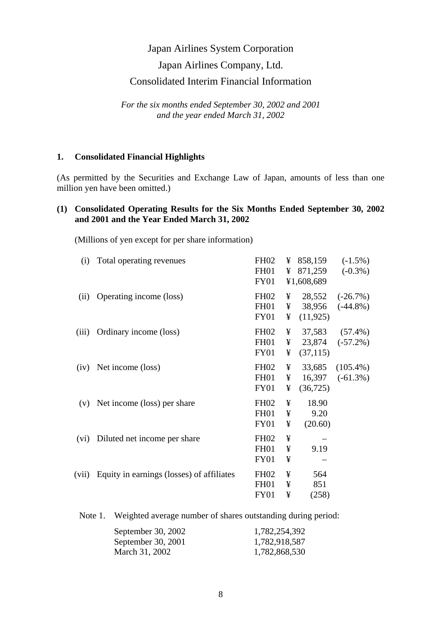# Japan Airlines System Corporation Japan Airlines Company, Ltd. Consolidated Interim Financial Information

*For the six months ended September 30, 2002 and 2001 and the year ended March 31, 2002* 

## **1. Consolidated Financial Highlights**

(As permitted by the Securities and Exchange Law of Japan, amounts of less than one million yen have been omitted.)

# **(1) Consolidated Operating Results for the Six Months Ended September 30, 2002 and 2001 and the Year Ended March 31, 2002**

(Millions of yen except for per share information)

| (i)   | Total operating revenues                  | <b>FH02</b><br><b>FH01</b><br><b>FY01</b>      | ¥<br>¥      | 858,159<br>871,259<br>¥1,608,689 | $(-1.5\%)$<br>$(-0.3\%)$   |
|-------|-------------------------------------------|------------------------------------------------|-------------|----------------------------------|----------------------------|
| (ii)  | Operating income (loss)                   | <b>FH02</b><br><b>FH01</b><br><b>FY01</b>      | ¥<br>¥<br>¥ | 28,552<br>38,956<br>(11, 925)    | $(-26.7%)$<br>$(-44.8\%)$  |
| (iii) | Ordinary income (loss)                    | <b>FH02</b><br><b>FH01</b><br><b>FY01</b>      | ¥<br>¥<br>¥ | 37,583<br>23,874<br>(37, 115)    | $(57.4\%)$<br>$(-57.2\%)$  |
| (iv)  | Net income (loss)                         | <b>FH02</b><br><b>FH01</b><br><b>FY01</b>      | ¥<br>¥<br>¥ | 33,685<br>16,397<br>(36, 725)    | $(105.4\%)$<br>$(-61.3\%)$ |
| (v)   | Net income (loss) per share               | <b>FH02</b><br><b>FH01</b><br><b>FY01</b>      | ¥<br>¥<br>¥ | 18.90<br>9.20<br>(20.60)         |                            |
| (vi)  | Diluted net income per share              | <b>FH02</b><br>FH <sub>01</sub><br><b>FY01</b> | ¥<br>¥<br>¥ | 9.19                             |                            |
| (vii) | Equity in earnings (losses) of affiliates | <b>FH02</b><br><b>FH01</b><br><b>FY01</b>      | ¥<br>¥<br>¥ | 564<br>851<br>(258)              |                            |
|       |                                           |                                                |             |                                  |                            |

Note 1. Weighted average number of shares outstanding during period:

| September 30, 2002 | 1,782,254,392 |
|--------------------|---------------|
| September 30, 2001 | 1,782,918,587 |
| March 31, 2002     | 1,782,868,530 |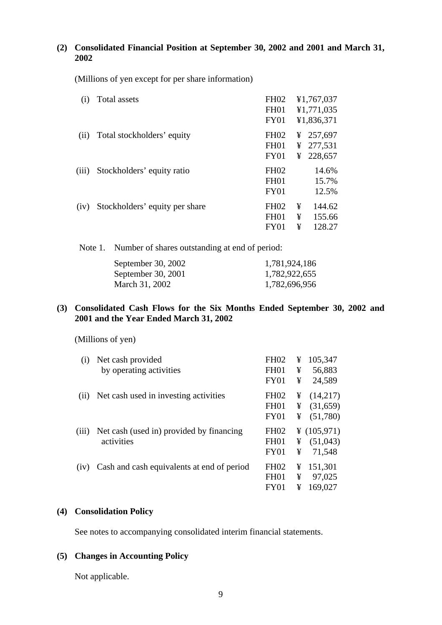# **(2) Consolidated Financial Position at September 30, 2002 and 2001 and March 31, 2002**

(Millions of yen except for per share information)

| (i)   | Total assets                   | <b>FH02</b><br>FH <sub>01</sub><br>FY01             |             | ¥1,767,037<br>¥1,771,035<br>¥1,836,371 |
|-------|--------------------------------|-----------------------------------------------------|-------------|----------------------------------------|
| (ii)  | Total stockholders' equity     | <b>FH02</b><br><b>FH01</b><br>FY01                  |             | ¥ 257,697<br>¥ 277,531<br>¥ 228,657    |
| (iii) | Stockholders' equity ratio     | FH <sub>02</sub><br>FH <sub>01</sub><br><b>FY01</b> |             | 14.6%<br>15.7%<br>12.5%                |
| (iv)  | Stockholders' equity per share | <b>FH02</b><br><b>FH01</b><br>FY01                  | ¥<br>¥<br>¥ | 144.62<br>155.66<br>128.27             |

Note 1. Number of shares outstanding at end of period:

| September 30, 2002 | 1,781,924,186 |
|--------------------|---------------|
| September 30, 2001 | 1,782,922,655 |
| March 31, 2002     | 1,782,696,956 |

# **(3) Consolidated Cash Flows for the Six Months Ended September 30, 2002 and 2001 and the Year Ended March 31, 2002**

(Millions of yen)

| $\left( 1\right)$ | Net cash provided<br>by operating activities           | <b>FH02</b><br><b>FH01</b><br><b>FY01</b>           | ¥<br>¥<br>¥ | 105,347<br>56,883<br>24,589         |
|-------------------|--------------------------------------------------------|-----------------------------------------------------|-------------|-------------------------------------|
| (11)              | Net cash used in investing activities                  | FH <sub>02</sub><br>FH <sub>01</sub><br><b>FY01</b> | ¥<br>¥<br>¥ | (14,217)<br>(31,659)<br>(51,780)    |
| (iii)             | Net cash (used in) provided by financing<br>activities | <b>FH02</b><br><b>FH01</b><br><b>FY01</b>           | ¥<br>¥      | ¥ $(105,971)$<br>(51,043)<br>71,548 |
| (iv)              | Cash and cash equivalents at end of period             | FH <sub>02</sub><br><b>FH01</b><br>FY <sub>01</sub> | ¥<br>¥<br>¥ | 151,301<br>97,025<br>169,027        |

## **(4) Consolidation Policy**

See notes to accompanying consolidated interim financial statements.

## **(5) Changes in Accounting Policy**

Not applicable.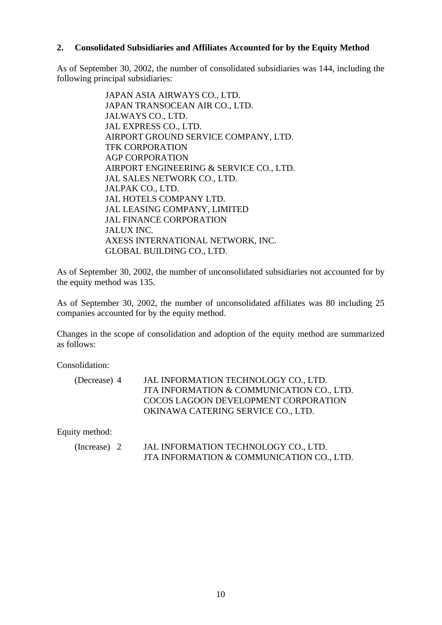## **2. Consolidated Subsidiaries and Affiliates Accounted for by the Equity Method**

As of September 30, 2002, the number of consolidated subsidiaries was 144, including the following principal subsidiaries:

> JAPAN ASIA AIRWAYS CO., LTD. JAPAN TRANSOCEAN AIR CO., LTD. JALWAYS CO., LTD. JAL EXPRESS CO., LTD. AIRPORT GROUND SERVICE COMPANY, LTD. TFK CORPORATION AGP CORPORATION AIRPORT ENGINEERING & SERVICE CO., LTD. JAL SALES NETWORK CO., LTD. JALPAK CO., LTD. JAL HOTELS COMPANY LTD. JAL LEASING COMPANY, LIMITED JAL FINANCE CORPORATION JALUX INC. AXESS INTERNATIONAL NETWORK, INC. GLOBAL BUILDING CO., LTD.

As of September 30, 2002, the number of unconsolidated subsidiaries not accounted for by the equity method was 135.

As of September 30, 2002, the number of unconsolidated affiliates was 80 including 25 companies accounted for by the equity method.

Changes in the scope of consolidation and adoption of the equity method are summarized as follows:

Consolidation:

| (Decrease) 4 | JAL INFORMATION TECHNOLOGY CO., LTD.      |
|--------------|-------------------------------------------|
|              | JTA INFORMATION & COMMUNICATION CO., LTD. |
|              | COCOS LAGOON DEVELOPMENT CORPORATION      |
|              | OKINAWA CATERING SERVICE CO., LTD.        |

Equity method:

| (Increase) $2$ | JAL INFORMATION TECHNOLOGY CO., LTD.      |
|----------------|-------------------------------------------|
|                | JTA INFORMATION & COMMUNICATION CO., LTD. |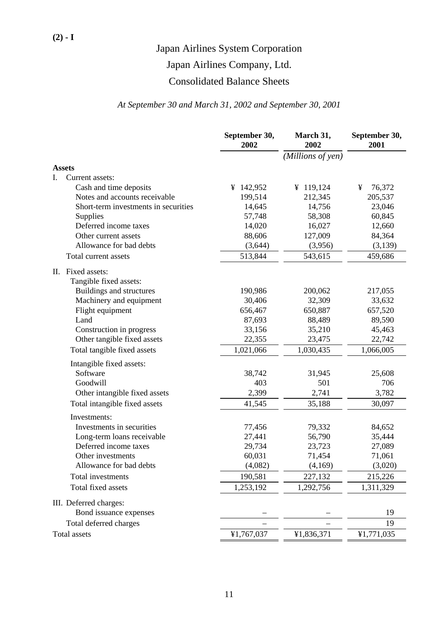# Japan Airlines Company, Ltd.

# Consolidated Balance Sheets

# *At September 30 and March 31, 2002 and September 30, 2001*

|                                             | September 30,<br>2002 | March 31,<br>2002 | September 30,<br>2001 |
|---------------------------------------------|-----------------------|-------------------|-----------------------|
|                                             |                       | (Millions of yen) |                       |
| <b>Assets</b>                               |                       |                   |                       |
| I.<br>Current assets:                       |                       |                   |                       |
| Cash and time deposits                      | ¥ 142,952             | ¥ 119,124         | 76,372<br>¥           |
| Notes and accounts receivable               | 199,514               | 212,345           | 205,537               |
| Short-term investments in securities        | 14,645                | 14,756            | 23,046                |
| Supplies                                    | 57,748                | 58,308            | 60,845                |
| Deferred income taxes                       | 14,020                | 16,027            | 12,660                |
| Other current assets                        | 88,606                | 127,009           | 84,364                |
| Allowance for bad debts                     | (3,644)               | (3,956)           | (3,139)               |
| Total current assets                        | 513,844               | 543,615           | 459,686               |
| II. Fixed assets:<br>Tangible fixed assets: |                       |                   |                       |
| Buildings and structures                    | 190,986               | 200,062           | 217,055               |
| Machinery and equipment                     | 30,406                | 32,309            | 33,632                |
| Flight equipment                            | 656,467               | 650,887           | 657,520               |
| Land                                        | 87,693                | 88,489            | 89,590                |
| Construction in progress                    | 33,156                | 35,210            | 45,463                |
| Other tangible fixed assets                 | 22,355                | 23,475            | 22,742                |
| Total tangible fixed assets                 | 1,021,066             | 1,030,435         | 1,066,005             |
| Intangible fixed assets:                    |                       |                   |                       |
| Software                                    | 38,742                | 31,945            | 25,608                |
| Goodwill                                    | 403                   | 501               | 706                   |
| Other intangible fixed assets               | 2,399                 | 2,741             | 3,782                 |
| Total intangible fixed assets               | 41,545                | 35,188            | 30,097                |
| Investments:                                |                       |                   |                       |
| Investments in securities                   | 77,456                | 79,332            | 84,652                |
| Long-term loans receivable                  | 27,441                | 56,790            | 35,444                |
| Deferred income taxes                       | 29,734                | 23,723            | 27,089                |
| Other investments                           | 60,031                | 71,454            | 71,061                |
| Allowance for bad debts                     | (4,082)               | (4,169)           | (3,020)               |
| Total investments                           | 190,581               | 227,132           | 215,226               |
| Total fixed assets                          | 1,253,192             | 1,292,756         | 1,311,329             |
| III. Deferred charges:                      |                       |                   |                       |
| Bond issuance expenses                      |                       |                   | 19                    |
| Total deferred charges                      |                       |                   | 19                    |
| <b>Total</b> assets                         | ¥1,767,037            | ¥1,836,371        | ¥1,771,035            |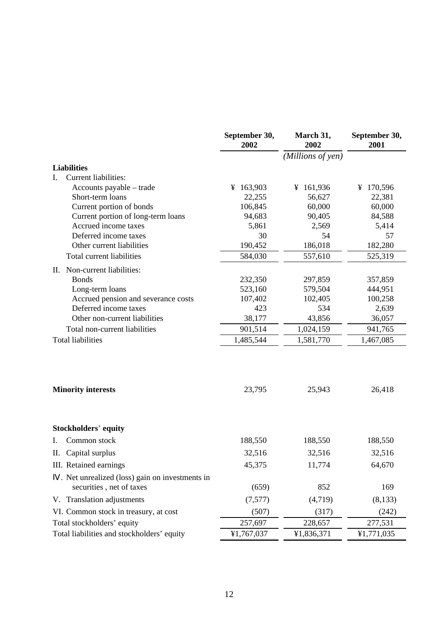|                                                                            | September 30,<br>2002 | March 31,<br>2002 | September 30,<br>2001 |
|----------------------------------------------------------------------------|-----------------------|-------------------|-----------------------|
|                                                                            |                       | (Millions of yen) |                       |
| <b>Liabilities</b>                                                         |                       |                   |                       |
| <b>Current liabilities:</b><br>Ι.                                          |                       |                   |                       |
| Accounts payable – trade                                                   | ¥ 163,903             | ¥ 161,936         | ¥ 170,596             |
| Short-term loans                                                           | 22,255                | 56,627            | 22,381                |
| Current portion of bonds                                                   | 106,845               | 60,000            | 60,000                |
| Current portion of long-term loans                                         | 94,683                | 90,405            | 84,588                |
| Accrued income taxes                                                       | 5,861                 | 2,569             | 5,414                 |
| Deferred income taxes                                                      | 30                    | 54                | 57                    |
| Other current liabilities                                                  | 190,452               | 186,018           | 182,280               |
| Total current liabilities                                                  | 584,030               | 557,610           | 525,319               |
| II. Non-current liabilities:                                               |                       |                   |                       |
| <b>Bonds</b>                                                               | 232,350               | 297,859           | 357,859               |
| Long-term loans                                                            | 523,160               | 579,504           | 444,951               |
| Accrued pension and severance costs                                        | 107,402               | 102,405           | 100,258               |
| Deferred income taxes                                                      | 423                   | 534               | 2,639                 |
| Other non-current liabilities                                              | 38,177                | 43,856            | 36,057                |
| Total non-current liabilities                                              | 901,514               | 1,024,159         | 941,765               |
| <b>Total liabilities</b>                                                   | 1,485,544             | 1,581,770         | 1,467,085             |
| <b>Minority interests</b>                                                  | 23,795                | 25,943            | 26,418                |
| <b>Stockholders' equity</b>                                                |                       |                   |                       |
| Common stock<br>I.                                                         | 188,550               | 188,550           | 188,550               |
| Capital surplus<br>П.                                                      | 32,516                | 32,516            | 32,516                |
| III. Retained earnings                                                     | 45,375                | 11,774            | 64,670                |
| . Net unrealized (loss) gain on investments in<br>securities, net of taxes | (659)                 | 852               | 169                   |
| V. Translation adjustments                                                 | (7,577)               | (4,719)           | (8,133)               |
| VI. Common stock in treasury, at cost                                      | (507)                 | (317)             | (242)                 |
| Total stockholders' equity                                                 | 257,697               | 228,657           | 277,531               |
| Total liabilities and stockholders' equity                                 | ¥1,767,037            | ¥1,836,371        | ¥1,771,035            |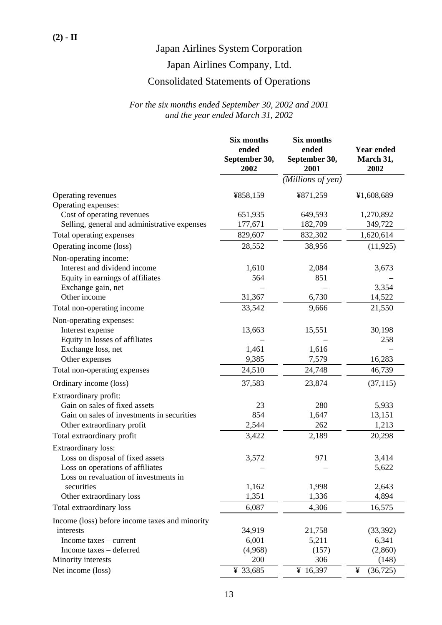# Japan Airlines Company, Ltd.

# Consolidated Statements of Operations

|                                                | Six months<br>ended   | Six months<br>ended   | <b>Year ended</b> |
|------------------------------------------------|-----------------------|-----------------------|-------------------|
|                                                | September 30,<br>2002 | September 30,<br>2001 | March 31,<br>2002 |
|                                                |                       | (Millions of yen)     |                   |
| Operating revenues<br>Operating expenses:      | ¥858,159              | ¥871,259              | ¥1,608,689        |
| Cost of operating revenues                     | 651,935               | 649,593               | 1,270,892         |
| Selling, general and administrative expenses   | 177,671               | 182,709               | 349,722           |
| Total operating expenses                       | 829,607               | 832,302               | 1,620,614         |
| Operating income (loss)                        | 28,552                | 38,956                | (11, 925)         |
| Non-operating income:                          |                       |                       |                   |
| Interest and dividend income                   | 1,610                 | 2,084                 | 3,673             |
| Equity in earnings of affiliates               | 564                   | 851                   |                   |
| Exchange gain, net                             |                       |                       | 3,354             |
| Other income                                   | 31,367                | 6,730                 | 14,522            |
| Total non-operating income                     | 33,542                | 9,666                 | 21,550            |
| Non-operating expenses:                        |                       |                       |                   |
| Interest expense                               | 13,663                | 15,551                | 30,198            |
| Equity in losses of affiliates                 |                       |                       | 258               |
| Exchange loss, net                             | 1,461                 | 1,616                 |                   |
| Other expenses                                 | 9,385                 | 7,579                 | 16,283            |
| Total non-operating expenses                   | 24,510                | 24,748                | 46,739            |
| Ordinary income (loss)                         | 37,583                | 23,874                | (37, 115)         |
| Extraordinary profit:                          |                       |                       |                   |
| Gain on sales of fixed assets                  | 23                    | 280                   | 5,933             |
| Gain on sales of investments in securities     | 854                   | 1,647                 | 13,151            |
| Other extraordinary profit                     | 2,544                 | 262                   | 1,213             |
| Total extraordinary profit                     | 3,422                 | 2,189                 | 20,298            |
| Extraordinary loss:                            |                       |                       |                   |
| Loss on disposal of fixed assets               | 3,572                 | 971                   | 3,414             |
| Loss on operations of affiliates               |                       |                       | 5,622             |
| Loss on revaluation of investments in          |                       |                       |                   |
| securities                                     | 1,162                 | 1,998                 | 2,643             |
| Other extraordinary loss                       | 1,351                 | 1,336                 | 4,894             |
| Total extraordinary loss                       | 6,087                 | 4,306                 | 16,575            |
| Income (loss) before income taxes and minority |                       |                       |                   |
| interests                                      | 34,919                | 21,758                | (33,392)          |
| Income taxes – current                         | 6,001                 | 5,211                 | 6,341             |
| Income taxes - deferred                        | (4,968)               | (157)                 | (2,860)           |
| Minority interests                             | 200                   | 306                   | (148)             |
| Net income (loss)                              | ¥ 33,685              | ¥ 16,397              | (36, 725)<br>¥    |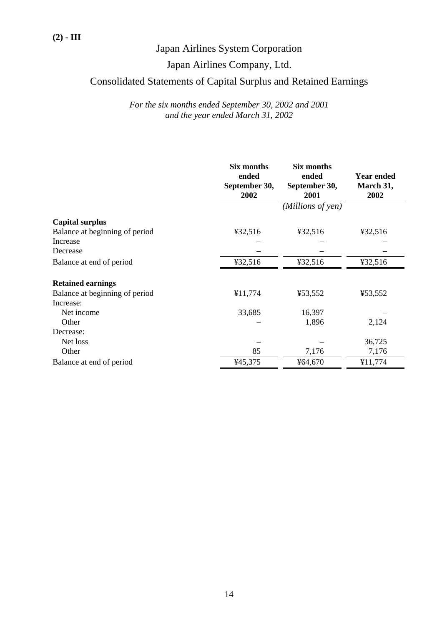# Japan Airlines Company, Ltd.

# Consolidated Statements of Capital Surplus and Retained Earnings

|                                | <b>Six months</b><br>ended<br>September 30,<br>2002 | Six months<br>ended<br>September 30,<br>2001 | <b>Year ended</b><br>March 31,<br>2002 |
|--------------------------------|-----------------------------------------------------|----------------------------------------------|----------------------------------------|
|                                |                                                     | (Millions of yen)                            |                                        |
| <b>Capital surplus</b>         |                                                     |                                              |                                        |
| Balance at beginning of period | ¥32,516                                             | ¥32,516                                      | ¥32,516                                |
| Increase                       |                                                     |                                              |                                        |
| Decrease                       |                                                     |                                              |                                        |
| Balance at end of period       | ¥32,516                                             | ¥32,516                                      | ¥32,516                                |
| <b>Retained earnings</b>       |                                                     |                                              |                                        |
| Balance at beginning of period | ¥11,774                                             | ¥53,552                                      | ¥53,552                                |
| Increase:                      |                                                     |                                              |                                        |
| Net income                     | 33,685                                              | 16,397                                       |                                        |
| Other                          |                                                     | 1,896                                        | 2,124                                  |
| Decrease:                      |                                                     |                                              |                                        |
| Net loss                       |                                                     |                                              | 36,725                                 |
| Other                          | 85                                                  | 7,176                                        | 7,176                                  |
| Balance at end of period       | ¥45,375                                             | ¥64,670                                      | ¥11,774                                |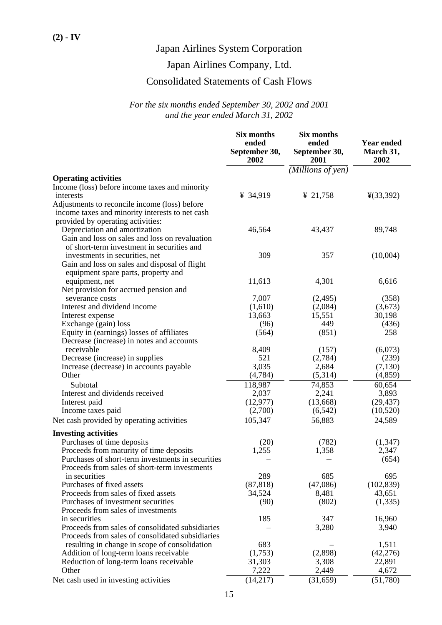# Japan Airlines Company, Ltd.

# Consolidated Statements of Cash Flows

|                                                                                        | <b>Six months</b><br>ended<br>September 30,<br>2002 | Six months<br>ended<br>September 30,<br>2001 | <b>Year ended</b><br>March 31,<br>2002 |
|----------------------------------------------------------------------------------------|-----------------------------------------------------|----------------------------------------------|----------------------------------------|
|                                                                                        |                                                     | (Millions of yen)                            |                                        |
| <b>Operating activities</b>                                                            |                                                     |                                              |                                        |
| Income (loss) before income taxes and minority                                         |                                                     |                                              |                                        |
| interests                                                                              | ¥ 34,919                                            | ¥ 21,758                                     | $\frac{1}{2}(33,392)$                  |
| Adjustments to reconcile income (loss) before                                          |                                                     |                                              |                                        |
| income taxes and minority interests to net cash                                        |                                                     |                                              |                                        |
| provided by operating activities:                                                      |                                                     |                                              |                                        |
| Depreciation and amortization                                                          | 46,564                                              | 43,437                                       | 89,748                                 |
| Gain and loss on sales and loss on revaluation                                         |                                                     |                                              |                                        |
| of short-term investment in securities and                                             |                                                     |                                              |                                        |
| investments in securities, net                                                         | 309                                                 | 357                                          | (10,004)                               |
| Gain and loss on sales and disposal of flight                                          |                                                     |                                              |                                        |
| equipment spare parts, property and                                                    |                                                     |                                              |                                        |
| equipment, net                                                                         | 11,613                                              | 4,301                                        | 6,616                                  |
| Net provision for accrued pension and                                                  |                                                     |                                              |                                        |
| severance costs                                                                        | 7,007                                               | (2,495)                                      | (358)                                  |
| Interest and dividend income                                                           | (1,610)                                             | (2,084)                                      | (3,673)                                |
| Interest expense                                                                       | 13,663                                              | 15,551                                       | 30,198                                 |
| Exchange (gain) loss                                                                   | (96)<br>(564)                                       | 449<br>(851)                                 | (436)<br>258                           |
| Equity in (earnings) losses of affiliates<br>Decrease (increase) in notes and accounts |                                                     |                                              |                                        |
| receivable                                                                             | 8,409                                               | (157)                                        | (6,073)                                |
| Decrease (increase) in supplies                                                        | 521                                                 | (2,784)                                      | (239)                                  |
| Increase (decrease) in accounts payable                                                | 3,035                                               | 2,684                                        | (7,130)                                |
| Other                                                                                  | (4,784)                                             | (5,314)                                      | (4, 859)                               |
| Subtotal                                                                               | 118,987                                             | 74,853                                       | 60,654                                 |
| Interest and dividends received                                                        | 2,037                                               | 2,241                                        | 3,893                                  |
| Interest paid                                                                          | (12, 977)                                           | (13,668)                                     | (29, 437)                              |
| Income taxes paid                                                                      | (2,700)                                             | (6, 542)                                     | (10,520)                               |
| Net cash provided by operating activities                                              | 105,347                                             | 56,883                                       | 24,589                                 |
|                                                                                        |                                                     |                                              |                                        |
| <b>Investing activities</b>                                                            |                                                     |                                              |                                        |
| Purchases of time deposits                                                             | (20)                                                | (782)                                        | (1, 347)                               |
| Proceeds from maturity of time deposits                                                | 1,255                                               | 1,358                                        | 2,347                                  |
| Purchases of short-term investments in securities                                      |                                                     |                                              | (654)                                  |
| Proceeds from sales of short-term investments                                          |                                                     |                                              |                                        |
| in securities                                                                          | 289                                                 | 685                                          | 695                                    |
| Purchases of fixed assets                                                              | (87, 818)                                           | (47,086)                                     | (102, 839)                             |
| Proceeds from sales of fixed assets                                                    | 34,524                                              | 8,481                                        | 43,651                                 |
| Purchases of investment securities                                                     | (90)                                                | (802)                                        | (1, 335)                               |
| Proceeds from sales of investments                                                     |                                                     |                                              |                                        |
| in securities                                                                          | 185                                                 | 347                                          | 16,960                                 |
| Proceeds from sales of consolidated subsidiaries                                       |                                                     | 3,280                                        | 3,940                                  |
| Proceeds from sales of consolidated subsidiaries                                       |                                                     |                                              |                                        |
| resulting in change in scope of consolidation                                          | 683                                                 |                                              | 1,511                                  |
| Addition of long-term loans receivable                                                 | (1,753)                                             | (2,898)                                      | (42, 276)<br>22,891                    |
| Reduction of long-term loans receivable<br>Other                                       | 31,303<br>7,222                                     | 3,308<br>2,449                               | 4,672                                  |
|                                                                                        |                                                     |                                              |                                        |
| Net cash used in investing activities                                                  | (14,217)                                            | (31, 659)                                    | (51,780)                               |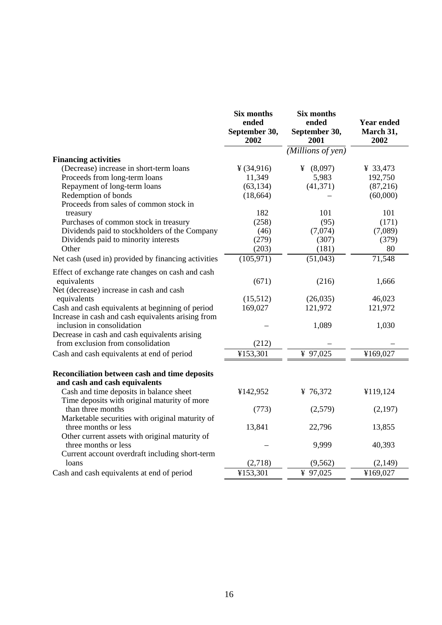|                                                                                                                           | Six months<br>ended<br>September 30,<br>2002 | <b>Six months</b><br>ended<br>September 30,<br>2001 | Year ended<br>March 31,<br>2002 |
|---------------------------------------------------------------------------------------------------------------------------|----------------------------------------------|-----------------------------------------------------|---------------------------------|
|                                                                                                                           |                                              | (Millions of yen)                                   |                                 |
| <b>Financing activities</b>                                                                                               |                                              |                                                     |                                 |
| (Decrease) increase in short-term loans                                                                                   | ¥ (34,916)                                   | ¥ $(8,097)$                                         | ¥ 33,473                        |
| Proceeds from long-term loans                                                                                             | 11,349                                       | 5,983                                               | 192,750                         |
| Repayment of long-term loans                                                                                              | (63, 134)                                    | (41, 371)                                           | (87,216)                        |
| Redemption of bonds                                                                                                       | (18, 664)                                    |                                                     | (60,000)                        |
| Proceeds from sales of common stock in                                                                                    |                                              |                                                     |                                 |
| treasury                                                                                                                  | 182                                          | 101                                                 | 101                             |
| Purchases of common stock in treasury                                                                                     | (258)                                        | (95)                                                | (171)                           |
| Dividends paid to stockholders of the Company                                                                             | (46)                                         | (7,074)                                             | (7,089)                         |
| Dividends paid to minority interests                                                                                      | (279)                                        | (307)                                               | (379)                           |
| Other                                                                                                                     | (203)                                        | (181)                                               | 80                              |
| Net cash (used in) provided by financing activities                                                                       | (105, 971)                                   | (51,043)                                            | 71,548                          |
| Effect of exchange rate changes on cash and cash                                                                          |                                              |                                                     |                                 |
| equivalents                                                                                                               | (671)                                        | (216)                                               | 1,666                           |
| Net (decrease) increase in cash and cash                                                                                  |                                              |                                                     |                                 |
| equivalents                                                                                                               | (15,512)                                     | (26,035)                                            | 46,023                          |
| Cash and cash equivalents at beginning of period                                                                          | 169,027                                      | 121,972                                             | 121,972                         |
| Increase in cash and cash equivalents arising from                                                                        |                                              |                                                     |                                 |
| inclusion in consolidation                                                                                                |                                              | 1,089                                               | 1,030                           |
| Decrease in cash and cash equivalents arising                                                                             |                                              |                                                     |                                 |
| from exclusion from consolidation                                                                                         | (212)                                        |                                                     |                                 |
| Cash and cash equivalents at end of period                                                                                | ¥153,301                                     | ¥ $97,025$                                          | ¥169,027                        |
| Reconciliation between cash and time deposits<br>and cash and cash equivalents<br>Cash and time deposits in balance sheet | ¥142,952                                     | ¥ 76,372                                            | ¥119,124                        |
| Time deposits with original maturity of more                                                                              |                                              |                                                     |                                 |
| than three months                                                                                                         | (773)                                        | (2,579)                                             | (2,197)                         |
| Marketable securities with original maturity of                                                                           |                                              |                                                     |                                 |
| three months or less                                                                                                      | 13,841                                       | 22,796                                              | 13,855                          |
| Other current assets with original maturity of<br>three months or less                                                    |                                              | 9,999                                               | 40,393                          |
| Current account overdraft including short-term                                                                            |                                              |                                                     |                                 |
| loans                                                                                                                     | (2,718)                                      | (9, 562)                                            | (2,149)                         |
| Cash and cash equivalents at end of period                                                                                | ¥153,301                                     | ¥ 97,025                                            | ¥169,027                        |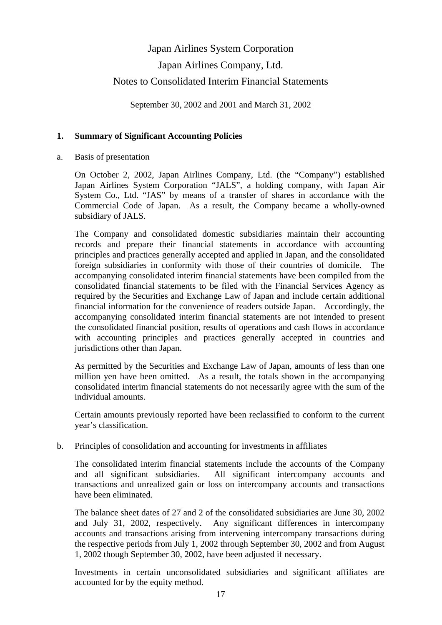# Japan Airlines System Corporation Japan Airlines Company, Ltd. Notes to Consolidated Interim Financial Statements

September 30, 2002 and 2001 and March 31, 2002

# **1. Summary of Significant Accounting Policies**

a. Basis of presentation

 On October 2, 2002, Japan Airlines Company, Ltd. (the "Company") established Japan Airlines System Corporation "JALS", a holding company, with Japan Air System Co., Ltd. "JAS" by means of a transfer of shares in accordance with the Commercial Code of Japan. As a result, the Company became a wholly-owned subsidiary of JALS.

 The Company and consolidated domestic subsidiaries maintain their accounting records and prepare their financial statements in accordance with accounting principles and practices generally accepted and applied in Japan, and the consolidated foreign subsidiaries in conformity with those of their countries of domicile. The accompanying consolidated interim financial statements have been compiled from the consolidated financial statements to be filed with the Financial Services Agency as required by the Securities and Exchange Law of Japan and include certain additional financial information for the convenience of readers outside Japan. Accordingly, the accompanying consolidated interim financial statements are not intended to present the consolidated financial position, results of operations and cash flows in accordance with accounting principles and practices generally accepted in countries and jurisdictions other than Japan.

 As permitted by the Securities and Exchange Law of Japan, amounts of less than one million yen have been omitted. As a result, the totals shown in the accompanying consolidated interim financial statements do not necessarily agree with the sum of the individual amounts.

 Certain amounts previously reported have been reclassified to conform to the current year's classification.

b. Principles of consolidation and accounting for investments in affiliates

 The consolidated interim financial statements include the accounts of the Company and all significant subsidiaries. All significant intercompany accounts and transactions and unrealized gain or loss on intercompany accounts and transactions have been eliminated.

 The balance sheet dates of 27 and 2 of the consolidated subsidiaries are June 30, 2002 and July 31, 2002, respectively. Any significant differences in intercompany accounts and transactions arising from intervening intercompany transactions during the respective periods from July 1, 2002 through September 30, 2002 and from August 1, 2002 though September 30, 2002, have been adjusted if necessary.

 Investments in certain unconsolidated subsidiaries and significant affiliates are accounted for by the equity method.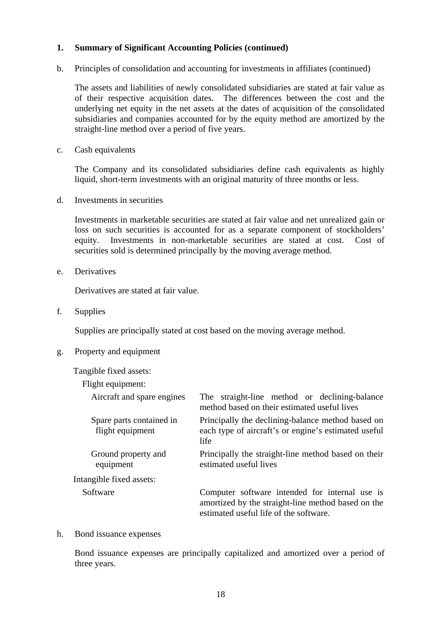b. Principles of consolidation and accounting for investments in affiliates (continued)

 The assets and liabilities of newly consolidated subsidiaries are stated at fair value as of their respective acquisition dates. The differences between the cost and the underlying net equity in the net assets at the dates of acquisition of the consolidated subsidiaries and companies accounted for by the equity method are amortized by the straight-line method over a period of five years.

c. Cash equivalents

 The Company and its consolidated subsidiaries define cash equivalents as highly liquid, short-term investments with an original maturity of three months or less.

d. Investments in securities

 Investments in marketable securities are stated at fair value and net unrealized gain or loss on such securities is accounted for as a separate component of stockholders' equity. Investments in non-marketable securities are stated at cost. Cost of securities sold is determined principally by the moving average method.

e. Derivatives

Derivatives are stated at fair value.

f. Supplies

Supplies are principally stated at cost based on the moving average method.

#### g. Property and equipment

Tangible fixed assets:

| Flight equipment:                            |                                                                                                                                                |
|----------------------------------------------|------------------------------------------------------------------------------------------------------------------------------------------------|
| Aircraft and spare engines                   | The straight-line method or declining-balance<br>method based on their estimated useful lives                                                  |
| Spare parts contained in<br>flight equipment | Principally the declining-balance method based on<br>each type of aircraft's or engine's estimated useful<br>life                              |
| Ground property and<br>equipment             | Principally the straight-line method based on their<br>estimated useful lives                                                                  |
| Intangible fixed assets:                     |                                                                                                                                                |
| Software                                     | Computer software intended for internal use is<br>amortized by the straight-line method based on the<br>estimated useful life of the software. |

#### h. Bond issuance expenses

 Bond issuance expenses are principally capitalized and amortized over a period of three years.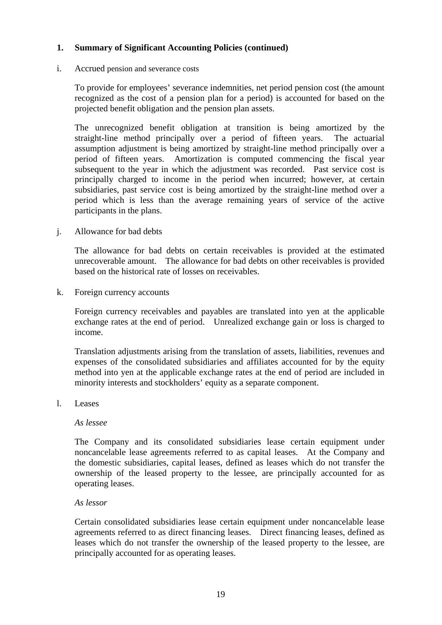### i. Accrued pension and severance costs

 To provide for employees' severance indemnities, net period pension cost (the amount recognized as the cost of a pension plan for a period) is accounted for based on the projected benefit obligation and the pension plan assets.

 The unrecognized benefit obligation at transition is being amortized by the straight-line method principally over a period of fifteen years. The actuarial assumption adjustment is being amortized by straight-line method principally over a period of fifteen years. Amortization is computed commencing the fiscal year subsequent to the year in which the adjustment was recorded. Past service cost is principally charged to income in the period when incurred; however, at certain subsidiaries, past service cost is being amortized by the straight-line method over a period which is less than the average remaining years of service of the active participants in the plans.

j. Allowance for bad debts

 The allowance for bad debts on certain receivables is provided at the estimated unrecoverable amount. The allowance for bad debts on other receivables is provided based on the historical rate of losses on receivables.

k. Foreign currency accounts

 Foreign currency receivables and payables are translated into yen at the applicable exchange rates at the end of period. Unrealized exchange gain or loss is charged to income.

 Translation adjustments arising from the translation of assets, liabilities, revenues and expenses of the consolidated subsidiaries and affiliates accounted for by the equity method into yen at the applicable exchange rates at the end of period are included in minority interests and stockholders' equity as a separate component.

l. Leases

#### *As lessee*

 The Company and its consolidated subsidiaries lease certain equipment under noncancelable lease agreements referred to as capital leases. At the Company and the domestic subsidiaries, capital leases, defined as leases which do not transfer the ownership of the leased property to the lessee, are principally accounted for as operating leases.

### *As lessor*

 Certain consolidated subsidiaries lease certain equipment under noncancelable lease agreements referred to as direct financing leases. Direct financing leases, defined as leases which do not transfer the ownership of the leased property to the lessee, are principally accounted for as operating leases.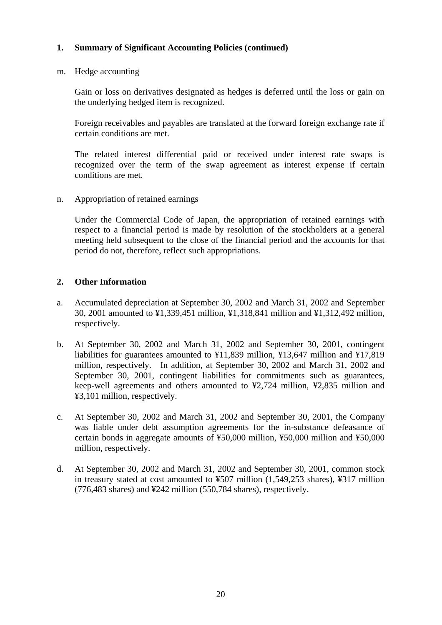m. Hedge accounting

 Gain or loss on derivatives designated as hedges is deferred until the loss or gain on the underlying hedged item is recognized.

 Foreign receivables and payables are translated at the forward foreign exchange rate if certain conditions are met.

 The related interest differential paid or received under interest rate swaps is recognized over the term of the swap agreement as interest expense if certain conditions are met.

n. Appropriation of retained earnings

 Under the Commercial Code of Japan, the appropriation of retained earnings with respect to a financial period is made by resolution of the stockholders at a general meeting held subsequent to the close of the financial period and the accounts for that period do not, therefore, reflect such appropriations.

## **2. Other Information**

- a. Accumulated depreciation at September 30, 2002 and March 31, 2002 and September 30, 2001 amounted to ¥1,339,451 million, ¥1,318,841 million and ¥1,312,492 million, respectively.
- b. At September 30, 2002 and March 31, 2002 and September 30, 2001, contingent liabilities for guarantees amounted to ¥11,839 million, ¥13,647 million and ¥17,819 million, respectively. In addition, at September 30, 2002 and March 31, 2002 and September 30, 2001, contingent liabilities for commitments such as guarantees, keep-well agreements and others amounted to ¥2,724 million, ¥2,835 million and ¥3,101 million, respectively.
- c. At September 30, 2002 and March 31, 2002 and September 30, 2001, the Company was liable under debt assumption agreements for the in-substance defeasance of certain bonds in aggregate amounts of ¥50,000 million, ¥50,000 million and ¥50,000 million, respectively.
- d. At September 30, 2002 and March 31, 2002 and September 30, 2001, common stock in treasury stated at cost amounted to ¥507 million (1,549,253 shares), ¥317 million (776,483 shares) and ¥242 million (550,784 shares), respectively.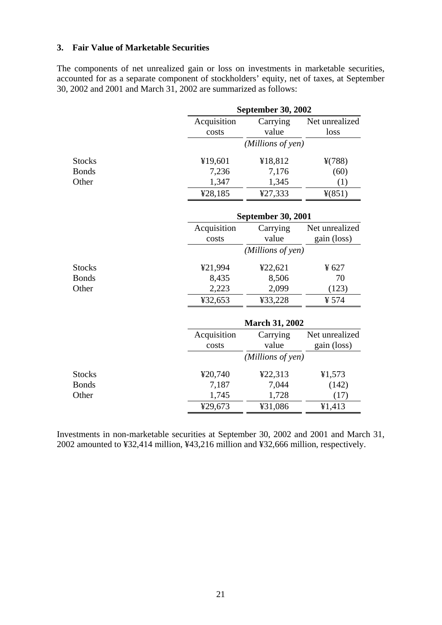## **3. Fair Value of Marketable Securities**

The components of net unrealized gain or loss on investments in marketable securities, accounted for as a separate component of stockholders' equity, net of taxes, at September 30, 2002 and 2001 and March 31, 2002 are summarized as follows:

|               | <b>September 30, 2002</b> |                   |                |  |  |  |
|---------------|---------------------------|-------------------|----------------|--|--|--|
|               | Acquisition               | Carrying          | Net unrealized |  |  |  |
|               | costs                     | value             | loss           |  |  |  |
|               |                           | (Millions of yen) |                |  |  |  |
| <b>Stocks</b> | ¥19,601                   | ¥18,812           | $*(788)$       |  |  |  |
| <b>Bonds</b>  | 7,236                     | 7,176             | (60)           |  |  |  |
| Other         | 1,347                     | 1,345             | (1)            |  |  |  |
|               | ¥28,185                   | ¥27,333           | 4(851)         |  |  |  |
|               | <b>September 30, 2001</b> |                   |                |  |  |  |
|               | Acquisition               | Carrying          | Net unrealized |  |  |  |
|               | costs                     | value             | gain (loss)    |  |  |  |
|               | (Millions of yen)         |                   |                |  |  |  |
| <b>Stocks</b> | ¥21,994                   | ¥22,621           | ¥ 627          |  |  |  |
| <b>Bonds</b>  | 8,435                     | 8,506             | 70             |  |  |  |
| Other         | 2,223                     | 2,099             | (123)          |  |  |  |
|               | ¥32,653                   | ¥33,228           | ¥ 574          |  |  |  |
|               | <b>March 31, 2002</b>     |                   |                |  |  |  |
|               | Acquisition               | Carrying          | Net unrealized |  |  |  |
|               | costs                     | value             | gain (loss)    |  |  |  |
|               |                           | (Millions of yen) |                |  |  |  |
| <b>Stocks</b> | ¥20,740                   | ¥22,313           | 41,573         |  |  |  |
| <b>Bonds</b>  | 7,187                     | 7,044             | (142)          |  |  |  |
| Other         | 1,745                     | 1,728             | (17)           |  |  |  |
|               | ¥29,673                   | ¥31,086           | 41,413         |  |  |  |

Investments in non-marketable securities at September 30, 2002 and 2001 and March 31, 2002 amounted to ¥32,414 million, ¥43,216 million and ¥32,666 million, respectively.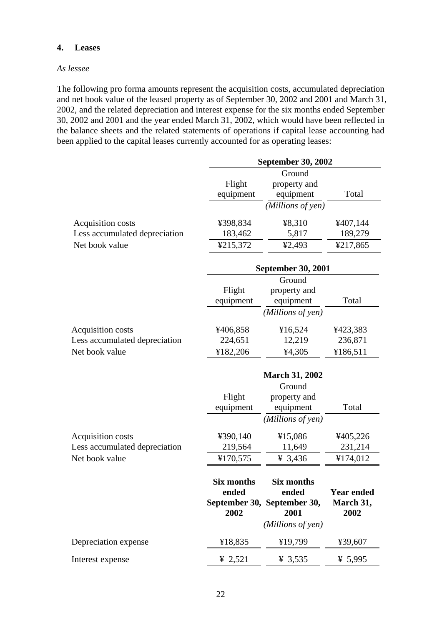### **4. Leases**

### *As lessee*

The following pro forma amounts represent the acquisition costs, accumulated depreciation and net book value of the leased property as of September 30, 2002 and 2001 and March 31, 2002, and the related depreciation and interest expense for the six months ended September 30, 2002 and 2001 and the year ended March 31, 2002, which would have been reflected in the balance sheets and the related statements of operations if capital lease accounting had been applied to the capital leases currently accounted for as operating leases:

|                               |                            | <b>September 30, 2002</b>                                 |                                |
|-------------------------------|----------------------------|-----------------------------------------------------------|--------------------------------|
|                               | Flight<br>equipment        | Ground<br>property and<br>equipment                       | Total                          |
|                               |                            | (Millions of yen)                                         |                                |
| Acquisition costs             | ¥398,834                   | ¥8,310                                                    | ¥407,144                       |
| Less accumulated depreciation | 183,462                    | 5,817                                                     | 189,279                        |
| Net book value                | ¥215,372                   | 42,493                                                    | ¥217,865                       |
|                               |                            | <b>September 30, 2001</b>                                 |                                |
|                               |                            | Ground                                                    |                                |
|                               | Flight                     | property and                                              |                                |
|                               | equipment                  | equipment                                                 | Total                          |
|                               |                            | (Millions of yen)                                         |                                |
| Acquisition costs             | ¥406,858                   | ¥16,524                                                   | ¥423,383                       |
| Less accumulated depreciation | 224,651                    | 12,219                                                    | 236,871                        |
| Net book value                | ¥182,206                   | 4,305                                                     | ¥186,511                       |
|                               |                            | <b>March 31, 2002</b>                                     |                                |
|                               |                            | Ground                                                    |                                |
|                               | Flight                     | property and                                              |                                |
|                               | equipment                  | equipment                                                 | Total                          |
|                               |                            | (Millions of yen)                                         |                                |
| Acquisition costs             | ¥390,140                   | ¥15,086                                                   | ¥405,226                       |
| Less accumulated depreciation | 219,564                    | 11,649                                                    | 231,214                        |
| Net book value                | ¥170,575                   | ¥ 3,436                                                   | ¥174,012                       |
|                               | <b>Six months</b><br>ended | <b>Six months</b><br>ended<br>September 30, September 30, | <b>Year ended</b><br>March 31, |
|                               | 2002                       | 2001                                                      | 2002                           |
|                               |                            | (Millions of yen)                                         |                                |
| Depreciation expense          | ¥18,835                    | ¥19,799                                                   | ¥39,607                        |
| Interest expense              | ¥ 2,521                    | ¥ 3,535                                                   | ¥ 5,995                        |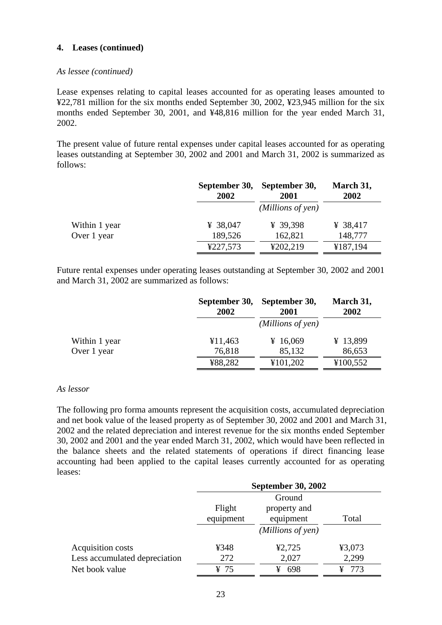### *As lessee (continued)*

Lease expenses relating to capital leases accounted for as operating leases amounted to ¥22,781 million for the six months ended September 30, 2002, ¥23,945 million for the six months ended September 30, 2001, and ¥48,816 million for the year ended March 31, 2002.

The present value of future rental expenses under capital leases accounted for as operating leases outstanding at September 30, 2002 and 2001 and March 31, 2002 is summarized as follows:

|               | September 30,<br>2002 | September 30,<br>2001 | March 31,<br>2002 |
|---------------|-----------------------|-----------------------|-------------------|
|               |                       | (Millions of yen)     |                   |
| Within 1 year | ¥ 38,047              | ¥ 39,398              | ¥ 38,417          |
| Over 1 year   | 189,526               | 162,821               | 148,777           |
|               | ¥227,573              | ¥202,219              | ¥187,194          |

Future rental expenses under operating leases outstanding at September 30, 2002 and 2001 and March 31, 2002 are summarized as follows:

|               | September 30,<br>2002 | September 30,<br>2001 | March 31,<br>2002 |
|---------------|-----------------------|-----------------------|-------------------|
|               |                       | (Millions of yen)     |                   |
| Within 1 year | ¥11,463               | ¥ 16,069              | ¥ 13,899          |
| Over 1 year   | 76,818                | 85,132                | 86,653            |
|               | ¥88,282               | ¥101,202              | ¥100,552          |

#### *As lessor*

The following pro forma amounts represent the acquisition costs, accumulated depreciation and net book value of the leased property as of September 30, 2002 and 2001 and March 31, 2002 and the related depreciation and interest revenue for the six months ended September 30, 2002 and 2001 and the year ended March 31, 2002, which would have been reflected in the balance sheets and the related statements of operations if direct financing lease accounting had been applied to the capital leases currently accounted for as operating leases:

|                               |                        | <b>September 30, 2002</b> |        |  |  |
|-------------------------------|------------------------|---------------------------|--------|--|--|
|                               |                        | Ground                    |        |  |  |
|                               | Flight<br>property and |                           |        |  |  |
|                               | equipment              | equipment                 | Total  |  |  |
|                               |                        | (Millions of yen)         |        |  |  |
| Acquisition costs             | ¥348                   | ¥2,725                    | ¥3,073 |  |  |
| Less accumulated depreciation | 272                    | 2,027                     | 2,299  |  |  |
| Net book value                | ¥ 75                   | 698<br>¥                  | 773    |  |  |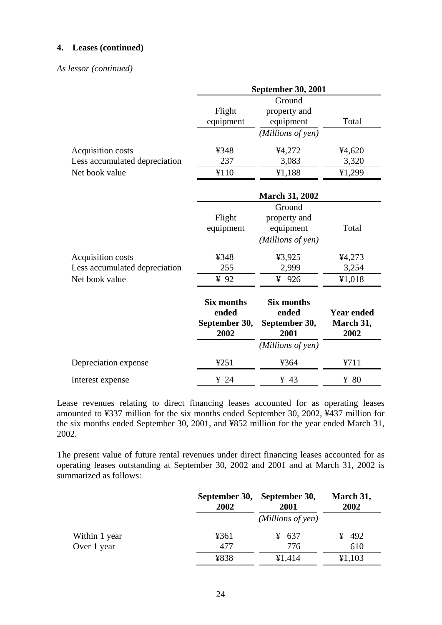### *As lessor (continued)*

|                               |                                                     | <b>September 30, 2001</b>                           |                                        |
|-------------------------------|-----------------------------------------------------|-----------------------------------------------------|----------------------------------------|
|                               |                                                     | Ground                                              |                                        |
|                               | Flight                                              | property and                                        |                                        |
|                               | equipment                                           | equipment                                           | Total                                  |
|                               |                                                     | (Millions of yen)                                   |                                        |
| Acquisition costs             | ¥348                                                | ¥4,272                                              | ¥4,620                                 |
| Less accumulated depreciation | 237                                                 | 3,083                                               | 3,320                                  |
| Net book value                | ¥110                                                | ¥1,188                                              | ¥1,299                                 |
|                               |                                                     | <b>March 31, 2002</b>                               |                                        |
|                               |                                                     | Ground                                              |                                        |
|                               | Flight                                              | property and                                        |                                        |
|                               | equipment                                           | equipment                                           | Total                                  |
|                               |                                                     | (Millions of yen)                                   |                                        |
| Acquisition costs             | ¥348                                                | ¥3,925                                              | ¥4,273                                 |
| Less accumulated depreciation | 255                                                 | 2,999                                               | 3,254                                  |
| Net book value                | 492                                                 | ¥ 926                                               | ¥1,018                                 |
|                               | <b>Six months</b><br>ended<br>September 30,<br>2002 | <b>Six months</b><br>ended<br>September 30,<br>2001 | <b>Year ended</b><br>March 31,<br>2002 |
|                               |                                                     | (Millions of yen)                                   |                                        |
| Depreciation expense          | 4251                                                | ¥364                                                | ¥711                                   |
| Interest expense              | $\frac{1}{2}$ 24                                    | $\frac{1}{2}$ 43                                    | $\frac{1}{2}$ 80                       |

Lease revenues relating to direct financing leases accounted for as operating leases amounted to ¥337 million for the six months ended September 30, 2002, ¥437 million for the six months ended September 30, 2001, and ¥852 million for the year ended March 31, 2002.

The present value of future rental revenues under direct financing leases accounted for as operating leases outstanding at September 30, 2002 and 2001 and at March 31, 2002 is summarized as follows:

|               | 2002 | September 30, September 30,<br>2001 | March 31,<br>2002 |
|---------------|------|-------------------------------------|-------------------|
|               |      | (Millions of yen)                   |                   |
| Within 1 year | ¥361 | ¥ 637                               | $\frac{1}{2}$ 492 |
| Over 1 year   | 477  | 776                                 | 610               |
|               | ¥838 | ¥1,414                              | ¥1,103            |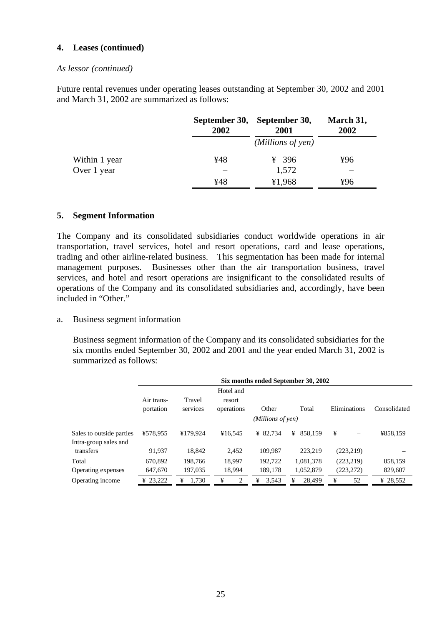#### *As lessor (continued)*

Future rental revenues under operating leases outstanding at September 30, 2002 and 2001 and March 31, 2002 are summarized as follows:

|               | 2002 | September 30, September 30,<br>2001 | March 31,<br>2002 |
|---------------|------|-------------------------------------|-------------------|
|               |      | (Millions of yen)                   |                   |
| Within 1 year | ¥48  | ¥ 396                               | ¥96               |
| Over 1 year   |      | 1,572                               |                   |
|               | ¥48  | ¥1,968                              | ¥96               |

### **5. Segment Information**

The Company and its consolidated subsidiaries conduct worldwide operations in air transportation, travel services, hotel and resort operations, card and lease operations, trading and other airline-related business. This segmentation has been made for internal management purposes. Businesses other than the air transportation business, travel services, and hotel and resort operations are insignificant to the consolidated results of operations of the Company and its consolidated subsidiaries and, accordingly, have been included in "Other"

a. Business segment information

 Business segment information of the Company and its consolidated subsidiaries for the six months ended September 30, 2002 and 2001 and the year ended March 31, 2002 is summarized as follows:

|                                                   | Six months ended September 30, 2002 |                    |                                   |            |              |              |              |  |
|---------------------------------------------------|-------------------------------------|--------------------|-----------------------------------|------------|--------------|--------------|--------------|--|
|                                                   | Air trans-<br>portation             | Travel<br>services | Hotel and<br>resort<br>operations | Other      | Total        | Eliminations | Consolidated |  |
|                                                   | (Millions of yen)                   |                    |                                   |            |              |              |              |  |
| Sales to outside parties<br>Intra-group sales and | ¥578,955                            | ¥179,924           | ¥16.545                           | ¥ 82.734   | ¥<br>858.159 | ¥            | ¥858,159     |  |
| transfers                                         | 91.937                              | 18.842             | 2,452                             | 109,987    | 223.219      | (223, 219)   |              |  |
| Total                                             | 670.892                             | 198.766            | 18.997                            | 192.722    | 1,081,378    | (223, 219)   | 858,159      |  |
| Operating expenses                                | 647,670                             | 197,035            | 18,994                            | 189,178    | 1,052,879    | (223, 272)   | 829,607      |  |
| Operating income                                  | ¥ 23,222                            | 1,730<br>¥         | ¥                                 | 3,543<br>¥ | 28,499<br>¥  | ¥<br>52      | ¥ 28,552     |  |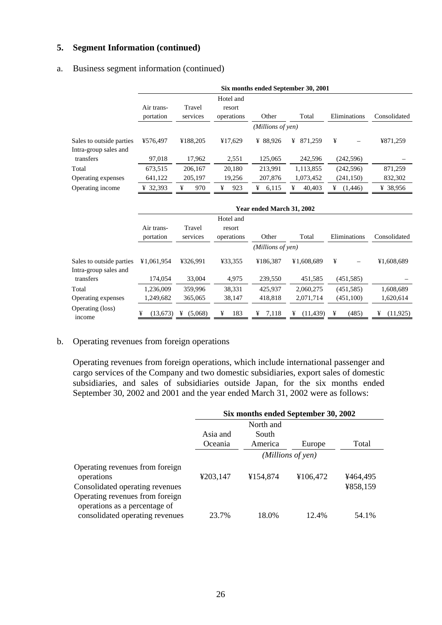# **5. Segment Information (continued)**

### a. Business segment information (continued)

|                                                   | Six months ended September 30, 2001 |                    |                                   |            |              |               |              |  |
|---------------------------------------------------|-------------------------------------|--------------------|-----------------------------------|------------|--------------|---------------|--------------|--|
|                                                   | Air trans-<br>portation             | Travel<br>services | Hotel and<br>resort<br>operations | Other      | Total        | Eliminations  | Consolidated |  |
|                                                   | (Millions of yen)                   |                    |                                   |            |              |               |              |  |
| Sales to outside parties<br>Intra-group sales and | ¥576,497                            | ¥188.205           | ¥17.629                           | ¥ 88.926   | ¥<br>871.259 | ¥             | ¥871,259     |  |
| transfers                                         | 97,018                              | 17,962             | 2,551                             | 125,065    | 242,596      | (242, 596)    |              |  |
| Total                                             | 673,515                             | 206.167            | 20,180                            | 213.991    | 1,113,855    | (242, 596)    | 871,259      |  |
| Operating expenses                                | 641,122                             | 205,197            | 19,256                            | 207,876    | 1,073,452    | (241, 150)    | 832,302      |  |
| Operating income                                  | 32,393<br>¥                         | 970<br>¥           | 923<br>¥                          | 6,115<br>¥ | 40.403<br>¥  | (1, 446)<br>¥ | ¥ 38,956     |  |

|                            | Year ended March 31, 2002 |              |                     |                   |                |              |                |
|----------------------------|---------------------------|--------------|---------------------|-------------------|----------------|--------------|----------------|
|                            | Air trans-                | Travel       | Hotel and<br>resort |                   |                |              |                |
|                            | portation                 | services     | operations          | Other             | Total          | Eliminations | Consolidated   |
|                            |                           |              |                     | (Millions of yen) |                |              |                |
| Sales to outside parties   | ¥1.061.954                | ¥326.991     | ¥33.355             | ¥186.387          | ¥1.608.689     | ¥            | ¥1,608,689     |
| Intra-group sales and      |                           |              |                     |                   |                |              |                |
| transfers                  | 174,054                   | 33,004       | 4,975               | 239,550           | 451,585        | (451, 585)   |                |
| Total                      | 1.236.009                 | 359,996      | 38.331              | 425,937           | 2.060.275      | (451, 585)   | 1,608,689      |
| Operating expenses         | 1,249,682                 | 365,065      | 38,147              | 418,818           | 2,071,714      | (451,100)    | 1,620,614      |
| Operating (loss)<br>income | (13,673)<br>¥             | (5,068)<br>¥ | 183<br>¥            | 7,118<br>¥        | (11, 439)<br>¥ | (485)<br>¥   | (11, 925)<br>¥ |

### b. Operating revenues from foreign operations

 Operating revenues from foreign operations, which include international passenger and cargo services of the Company and two domestic subsidiaries, export sales of domestic subsidiaries, and sales of subsidiaries outside Japan, for the six months ended September 30, 2002 and 2001 and the year ended March 31, 2002 were as follows:

|                                                                                  | Six months ended September 30, 2002 |          |                   |                      |  |
|----------------------------------------------------------------------------------|-------------------------------------|----------|-------------------|----------------------|--|
|                                                                                  | North and                           |          |                   |                      |  |
|                                                                                  | Asia and                            | South    |                   |                      |  |
|                                                                                  | Oceania                             | America  | Europe            | Total                |  |
|                                                                                  |                                     |          | (Millions of yen) |                      |  |
| Operating revenues from foreign<br>operations<br>Consolidated operating revenues | ¥203,147                            | ¥154,874 | ¥106,472          | ¥464,495<br>¥858,159 |  |
| Operating revenues from foreign<br>operations as a percentage of                 |                                     |          |                   |                      |  |
| consolidated operating revenues                                                  | 23.7%                               | 18.0%    | 12.4%             | 54.1%                |  |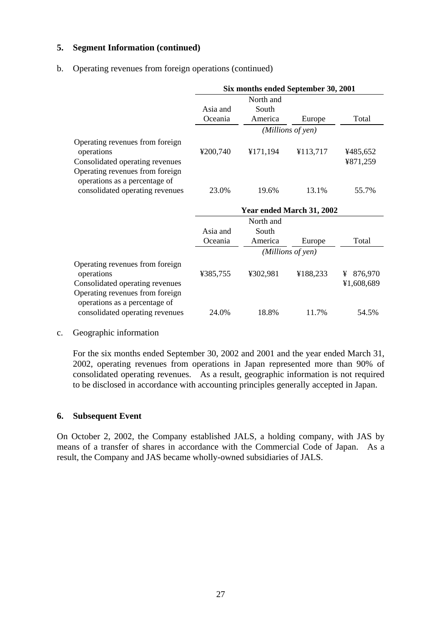## **5. Segment Information (continued)**

### b. Operating revenues from foreign operations (continued)

|                                                                                                     | Six months ended September 30, 2001 |                           |                   |              |  |
|-----------------------------------------------------------------------------------------------------|-------------------------------------|---------------------------|-------------------|--------------|--|
|                                                                                                     |                                     | North and                 |                   |              |  |
|                                                                                                     | Asia and                            | South                     |                   |              |  |
|                                                                                                     | Oceania                             | America                   | Europe            | Total        |  |
|                                                                                                     |                                     |                           | (Millions of yen) |              |  |
| Operating revenues from foreign<br>operations                                                       | ¥200,740                            | ¥171,194                  | ¥113,717          | ¥485,652     |  |
| Consolidated operating revenues                                                                     |                                     |                           |                   | ¥871,259     |  |
| Operating revenues from foreign<br>operations as a percentage of                                    |                                     |                           |                   |              |  |
| consolidated operating revenues                                                                     | 23.0%                               | 19.6%                     | 13.1%             | 55.7%        |  |
|                                                                                                     |                                     |                           |                   |              |  |
|                                                                                                     |                                     | Year ended March 31, 2002 |                   |              |  |
|                                                                                                     |                                     | North and                 |                   |              |  |
|                                                                                                     | Asia and                            | South                     |                   |              |  |
|                                                                                                     | Oceania                             | America                   | Europe            | Total        |  |
|                                                                                                     |                                     |                           | (Millions of yen) |              |  |
| Operating revenues from foreign<br>operations                                                       | ¥385,755                            | ¥302,981                  | ¥188,233          | 876,970<br>¥ |  |
|                                                                                                     |                                     |                           |                   | ¥1,608,689   |  |
| Consolidated operating revenues<br>Operating revenues from foreign<br>operations as a percentage of |                                     |                           |                   |              |  |

c. Geographic information

 For the six months ended September 30, 2002 and 2001 and the year ended March 31, 2002, operating revenues from operations in Japan represented more than 90% of consolidated operating revenues. As a result, geographic information is not required to be disclosed in accordance with accounting principles generally accepted in Japan.

## **6. Subsequent Event**

On October 2, 2002, the Company established JALS, a holding company, with JAS by means of a transfer of shares in accordance with the Commercial Code of Japan. As a result, the Company and JAS became wholly-owned subsidiaries of JALS.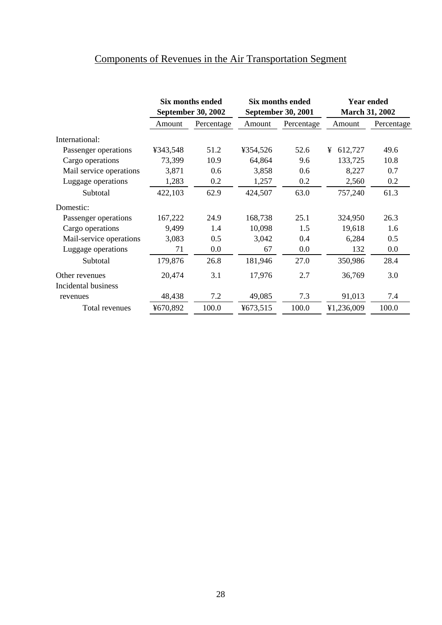|                         | Six months ended<br><b>September 30, 2002</b> |            | Six months ended<br><b>September 30, 2001</b> |            | <b>Year ended</b><br><b>March 31, 2002</b> |            |
|-------------------------|-----------------------------------------------|------------|-----------------------------------------------|------------|--------------------------------------------|------------|
|                         | Amount                                        | Percentage | Amount                                        | Percentage | Amount                                     | Percentage |
| International:          |                                               |            |                                               |            |                                            |            |
| Passenger operations    | ¥343,548                                      | 51.2       | ¥354,526                                      | 52.6       | ¥<br>612,727                               | 49.6       |
| Cargo operations        | 73,399                                        | 10.9       | 64,864                                        | 9.6        | 133,725                                    | 10.8       |
| Mail service operations | 3,871                                         | 0.6        | 3,858                                         | 0.6        | 8,227                                      | 0.7        |
| Luggage operations      | 1,283                                         | 0.2        | 1,257                                         | 0.2        | 2,560                                      | 0.2        |
| Subtotal                | 422,103                                       | 62.9       | 424,507                                       | 63.0       | 757,240                                    | 61.3       |
| Domestic:               |                                               |            |                                               |            |                                            |            |
| Passenger operations    | 167,222                                       | 24.9       | 168,738                                       | 25.1       | 324,950                                    | 26.3       |
| Cargo operations        | 9,499                                         | 1.4        | 10,098                                        | 1.5        | 19,618                                     | 1.6        |
| Mail-service operations | 3,083                                         | 0.5        | 3,042                                         | 0.4        | 6,284                                      | 0.5        |
| Luggage operations      | 71                                            | 0.0        | 67                                            | $0.0\,$    | 132                                        | 0.0        |
| Subtotal                | 179,876                                       | 26.8       | 181,946                                       | 27.0       | 350,986                                    | 28.4       |
| Other revenues          | 20,474                                        | 3.1        | 17,976                                        | 2.7        | 36,769                                     | 3.0        |
| Incidental business     |                                               |            |                                               |            |                                            |            |
| revenues                | 48,438                                        | 7.2        | 49,085                                        | 7.3        | 91,013                                     | 7.4        |
| Total revenues          | ¥670,892                                      | 100.0      | ¥673,515                                      | 100.0      | ¥1,236,009                                 | 100.0      |

# Components of Revenues in the Air Transportation Segment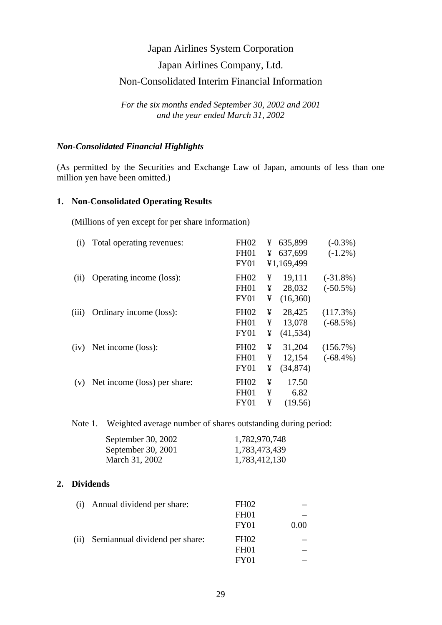# Japan Airlines Company, Ltd.

# Non-Consolidated Interim Financial Information

*For the six months ended September 30, 2002 and 2001 and the year ended March 31, 2002* 

### *Non-Consolidated Financial Highlights*

(As permitted by the Securities and Exchange Law of Japan, amounts of less than one million yen have been omitted.)

## **1. Non-Consolidated Operating Results**

(Millions of yen except for per share information)

| (i)   | Total operating revenues:    | <b>FH02</b>      | ¥ | 635,899    | $(-0.3\%)$  |
|-------|------------------------------|------------------|---|------------|-------------|
|       |                              | <b>FH01</b>      | ¥ | 637,699    | $(-1.2\%)$  |
|       |                              | <b>FY01</b>      |   | ¥1,169,499 |             |
| (ii)  | Operating income (loss):     | <b>FH02</b>      | ¥ | 19,111     | $(-31.8\%)$ |
|       |                              | <b>FH01</b>      | ¥ | 28,032     | $(-50.5\%)$ |
|       |                              | <b>FY01</b>      | ¥ | (16,360)   |             |
| (iii) | Ordinary income (loss):      | <b>FH02</b>      | ¥ | 28,425     | (117.3%)    |
|       |                              | FH <sub>01</sub> | ¥ | 13,078     | $(-68.5\%)$ |
|       |                              | <b>FY01</b>      | ¥ | (41, 534)  |             |
| (iv)  | Net income (loss):           | <b>FH02</b>      | ¥ | 31,204     | (156.7%)    |
|       |                              | <b>FH01</b>      | ¥ | 12,154     | $(-68.4\%)$ |
|       |                              | <b>FY01</b>      | ¥ | (34, 874)  |             |
| (v)   | Net income (loss) per share: | <b>FH02</b>      | ¥ | 17.50      |             |
|       |                              | <b>FH01</b>      | ¥ | 6.82       |             |
|       |                              | <b>FY01</b>      | ¥ | (19.56)    |             |

Note 1. Weighted average number of shares outstanding during period:

| September 30, 2002 | 1,782,970,748 |
|--------------------|---------------|
| September 30, 2001 | 1,783,473,439 |
| March 31, 2002     | 1,783,412,130 |

## **2. Dividends**

| (i)  | Annual dividend per share:     | <b>FH02</b>      |      |
|------|--------------------------------|------------------|------|
|      |                                | FH <sub>01</sub> |      |
|      |                                | FY01             | 0.00 |
| (ii) | Semiannual dividend per share: | FH <sub>02</sub> |      |
|      |                                | FH <sub>01</sub> |      |
|      |                                | FY <sub>01</sub> |      |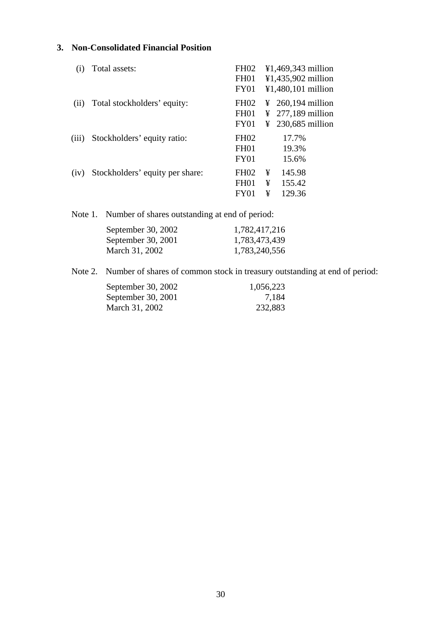# **3. Non-Consolidated Financial Position**

|       | Total assets:                   | <b>FH02</b>      |   | ¥1,469,343 million            |  |
|-------|---------------------------------|------------------|---|-------------------------------|--|
|       |                                 | <b>FH01</b>      |   | ¥1,435,902 million            |  |
|       |                                 | FY01             |   | $¥1,480,101$ million          |  |
| (i)   | Total stockholders' equity:     | <b>FH02</b>      |   | $\frac{1}{2}$ 260,194 million |  |
|       |                                 | FH <sub>01</sub> |   | $\frac{1}{2}$ 277,189 million |  |
|       |                                 | FY01             |   | $\frac{1}{2}$ 230,685 million |  |
| (iii) | Stockholders' equity ratio:     | FH <sub>02</sub> |   | 17.7%                         |  |
|       |                                 | <b>FH01</b>      |   | 19.3%                         |  |
|       |                                 | <b>FY01</b>      |   | 15.6%                         |  |
| (iv)  | Stockholders' equity per share: | <b>FH02</b>      | ¥ | 145.98                        |  |
|       |                                 | <b>FH01</b>      | ¥ | 155.42                        |  |
|       |                                 | FY01             | ¥ | 129.36                        |  |

Note 1. Number of shares outstanding at end of period:

| September 30, 2002 | 1,782,417,216 |
|--------------------|---------------|
| September 30, 2001 | 1,783,473,439 |
| March 31, 2002     | 1,783,240,556 |

Note 2. Number of shares of common stock in treasury outstanding at end of period:

| September 30, 2002 | 1,056,223 |
|--------------------|-----------|
| September 30, 2001 | 7.184     |
| March 31, 2002     | 232,883   |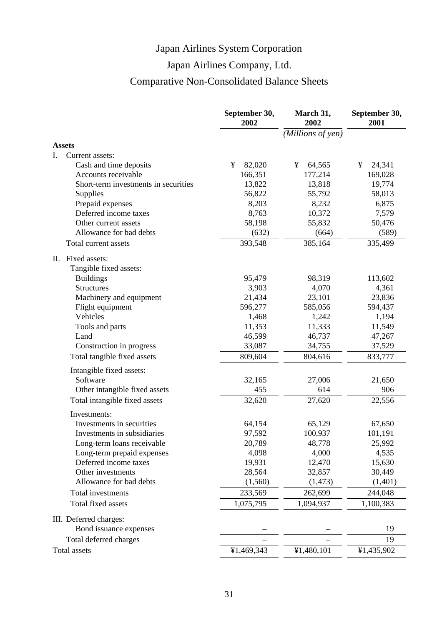# Japan Airlines Company, Ltd.

# Comparative Non-Consolidated Balance Sheets

|                                             | September 30,<br>2002 | March 31,<br>2002 | September 30,<br>2001 |
|---------------------------------------------|-----------------------|-------------------|-----------------------|
|                                             |                       | (Millions of yen) |                       |
| <b>Assets</b>                               |                       |                   |                       |
| Current assets:<br>I.                       |                       |                   |                       |
| Cash and time deposits                      | 82,020<br>¥           | ¥<br>64,565       | 24,341<br>¥           |
| Accounts receivable                         | 166,351               | 177,214           | 169,028               |
| Short-term investments in securities        | 13,822                | 13,818            | 19,774                |
| Supplies                                    | 56,822                | 55,792            | 58,013                |
| Prepaid expenses                            | 8,203                 | 8,232             | 6,875                 |
| Deferred income taxes                       | 8,763                 | 10,372            | 7,579                 |
| Other current assets                        | 58,198                | 55,832            | 50,476                |
| Allowance for bad debts                     | (632)                 | (664)             | (589)                 |
| Total current assets                        | 393,548               | 385,164           | 335,499               |
| II. Fixed assets:<br>Tangible fixed assets: |                       |                   |                       |
| <b>Buildings</b>                            | 95,479                | 98,319            | 113,602               |
| <b>Structures</b>                           | 3,903                 | 4,070             | 4,361                 |
| Machinery and equipment                     | 21,434                | 23,101            | 23,836                |
| Flight equipment                            | 596,277               | 585,056           | 594,437               |
| Vehicles                                    | 1,468                 | 1,242             | 1,194                 |
| Tools and parts                             | 11,353                | 11,333            | 11,549                |
| Land                                        | 46,599                | 46,737            | 47,267                |
| Construction in progress                    | 33,087                | 34,755            | 37,529                |
| Total tangible fixed assets                 | 809,604               | 804,616           | 833,777               |
| Intangible fixed assets:                    |                       |                   |                       |
| Software                                    | 32,165                | 27,006            | 21,650                |
| Other intangible fixed assets               | 455                   | 614               | 906                   |
| Total intangible fixed assets               | 32,620                | 27,620            | 22,556                |
| Investments:                                |                       |                   |                       |
| Investments in securities                   | 64,154                | 65,129            | 67,650                |
| Investments in subsidiaries                 | 97,592                | 100,937           | 101,191               |
| Long-term loans receivable                  | 20,789                | 48,778            | 25,992                |
| Long-term prepaid expenses                  | 4,098                 | 4,000             | 4,535                 |
| Deferred income taxes                       | 19,931                | 12,470            | 15,630                |
| Other investments                           | 28,564                | 32,857            | 30,449                |
| Allowance for bad debts                     | (1,560)               | (1, 473)          | (1,401)               |
| Total investments                           | 233,569               | 262,699           | 244,048               |
| Total fixed assets                          | 1,075,795             | 1,094,937         | 1,100,383             |
| III. Deferred charges:                      |                       |                   |                       |
| Bond issuance expenses                      |                       |                   | 19                    |
| Total deferred charges                      |                       |                   | 19                    |
| Total assets                                | ¥1,469,343            | ¥1,480,101        | ¥1,435,902            |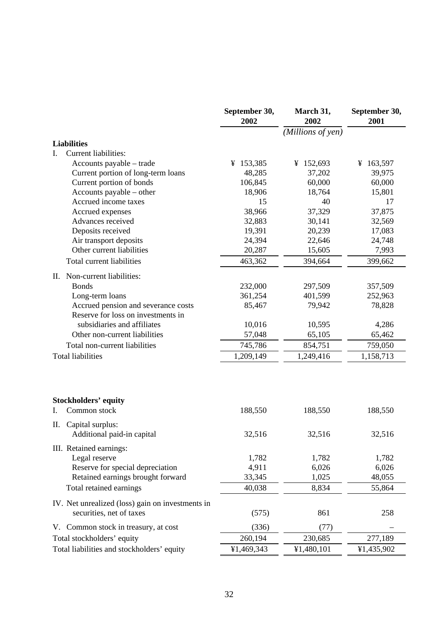|                                                                              | September 30,<br>2002 | March 31,<br>2002 | September 30,<br>2001 |
|------------------------------------------------------------------------------|-----------------------|-------------------|-----------------------|
|                                                                              |                       | (Millions of yen) |                       |
| <b>Liabilities</b>                                                           |                       |                   |                       |
| <b>Current liabilities:</b><br>I.                                            |                       |                   |                       |
| Accounts payable – trade                                                     | ¥ 153,385             | ¥ 152,693         | ¥ 163,597             |
| Current portion of long-term loans                                           | 48,285                | 37,202            | 39,975                |
| Current portion of bonds                                                     | 106,845               | 60,000            | 60,000                |
| Accounts payable – other                                                     | 18,906                | 18,764            | 15,801                |
| Accrued income taxes                                                         | 15                    | 40                | 17                    |
| Accrued expenses                                                             | 38,966                | 37,329            | 37,875                |
| Advances received                                                            | 32,883                | 30,141            | 32,569                |
| Deposits received                                                            | 19,391                | 20,239            | 17,083                |
| Air transport deposits                                                       | 24,394                | 22,646            | 24,748                |
| Other current liabilities                                                    | 20,287                | 15,605            | 7,993                 |
| Total current liabilities                                                    | 463,362               | 394,664           | 399,662               |
| II. Non-current liabilities:                                                 |                       |                   |                       |
| <b>Bonds</b>                                                                 | 232,000               | 297,509           | 357,509               |
| Long-term loans                                                              | 361,254               | 401,599           | 252,963               |
| Accrued pension and severance costs<br>Reserve for loss on investments in    | 85,467                | 79,942            | 78,828                |
| subsidiaries and affiliates                                                  | 10,016                | 10,595            | 4,286                 |
| Other non-current liabilities                                                | 57,048                | 65,105            | 65,462                |
| Total non-current liabilities                                                | 745,786               | 854,751           | 759,050               |
| <b>Total liabilities</b>                                                     | 1,209,149             | 1,249,416         | 1,158,713             |
| <b>Stockholders' equity</b><br>I.<br>Common stock                            | 188,550               | 188,550           | 188,550               |
|                                                                              |                       |                   |                       |
| Capital surplus:<br>П.<br>Additional paid-in capital                         | 32,516                | 32,516            | 32,516                |
| III. Retained earnings:                                                      |                       |                   |                       |
| Legal reserve                                                                | 1,782                 | 1,782             | 1,782                 |
| Reserve for special depreciation                                             | 4,911                 | 6,026             | 6,026                 |
| Retained earnings brought forward                                            | 33,345                | 1,025             | 48,055                |
| Total retained earnings                                                      | 40,038                | 8,834             | 55,864                |
| IV. Net unrealized (loss) gain on investments in<br>securities, net of taxes |                       |                   |                       |
|                                                                              | (575)                 | 861               | 258                   |
| V. Common stock in treasury, at cost                                         | (336)                 | (77)              |                       |
| Total stockholders' equity                                                   | 260,194               | 230,685           | 277,189               |
| Total liabilities and stockholders' equity                                   | ¥1,469,343            | ¥1,480,101        | ¥1,435,902            |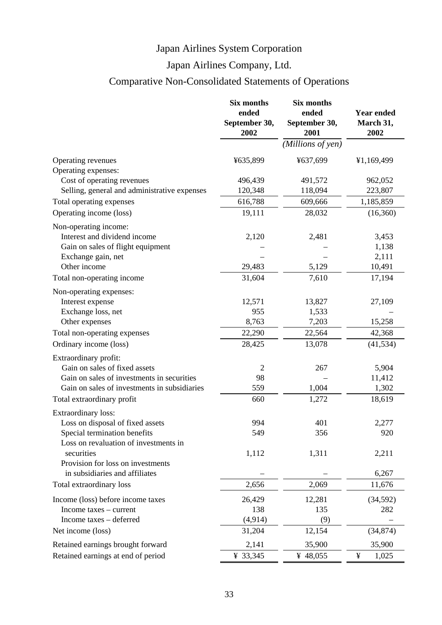# Japan Airlines Company, Ltd.

# Comparative Non-Consolidated Statements of Operations

|                                              | Six months<br>ended<br>September 30,<br>2002 | Six months<br>ended<br>September 30,<br>2001 | <b>Year ended</b><br>March 31,<br>2002 |
|----------------------------------------------|----------------------------------------------|----------------------------------------------|----------------------------------------|
|                                              |                                              | (Millions of yen)                            |                                        |
| Operating revenues<br>Operating expenses:    | ¥635,899                                     | ¥637,699                                     | ¥1,169,499                             |
| Cost of operating revenues                   | 496,439                                      | 491,572                                      | 962,052                                |
| Selling, general and administrative expenses | 120,348                                      | 118,094                                      | 223,807                                |
| Total operating expenses                     | 616,788                                      | 609,666                                      | 1,185,859                              |
| Operating income (loss)                      | 19,111                                       | 28,032                                       | (16,360)                               |
| Non-operating income:                        |                                              |                                              |                                        |
| Interest and dividend income                 | 2,120                                        | 2,481                                        | 3,453                                  |
| Gain on sales of flight equipment            |                                              |                                              | 1,138                                  |
| Exchange gain, net                           |                                              |                                              | 2,111                                  |
| Other income                                 | 29,483                                       | 5,129                                        | 10,491                                 |
| Total non-operating income                   | 31,604                                       | 7,610                                        | 17,194                                 |
| Non-operating expenses:                      |                                              |                                              |                                        |
| Interest expense                             | 12,571                                       | 13,827                                       | 27,109                                 |
| Exchange loss, net                           | 955                                          | 1,533                                        |                                        |
| Other expenses                               | 8,763                                        | 7,203                                        | 15,258                                 |
| Total non-operating expenses                 | 22,290                                       | 22,564                                       | 42,368                                 |
| Ordinary income (loss)                       | 28,425                                       | 13,078                                       | (41, 534)                              |
| Extraordinary profit:                        |                                              |                                              |                                        |
| Gain on sales of fixed assets                | $\mathfrak{2}$                               | 267                                          | 5,904                                  |
| Gain on sales of investments in securities   | 98                                           |                                              | 11,412                                 |
| Gain on sales of investments in subsidiaries | 559                                          | 1,004                                        | 1,302                                  |
| Total extraordinary profit                   | 660                                          | 1,272                                        | 18,619                                 |
| Extraordinary loss:                          |                                              |                                              |                                        |
| Loss on disposal of fixed assets             | 994                                          | 401                                          | 2,277                                  |
| Special termination benefits                 | 549                                          | 356                                          | 920                                    |
| Loss on revaluation of investments in        |                                              |                                              |                                        |
| securities                                   | 1,112                                        | 1,311                                        | 2,211                                  |
| Provision for loss on investments            |                                              |                                              |                                        |
| in subsidiaries and affiliates               |                                              |                                              | 6,267                                  |
| Total extraordinary loss                     | 2,656                                        | 2,069                                        | 11,676                                 |
| Income (loss) before income taxes            | 26,429                                       | 12,281                                       | (34,592)                               |
| Income taxes – current                       | 138                                          | 135                                          | 282                                    |
| Income taxes - deferred                      | (4, 914)                                     | (9)                                          |                                        |
| Net income (loss)                            | 31,204                                       | 12,154                                       | (34, 874)                              |
| Retained earnings brought forward            | 2,141                                        | 35,900                                       | 35,900                                 |
| Retained earnings at end of period           | ¥ 33,345                                     | ¥ 48,055                                     | ¥<br>1,025                             |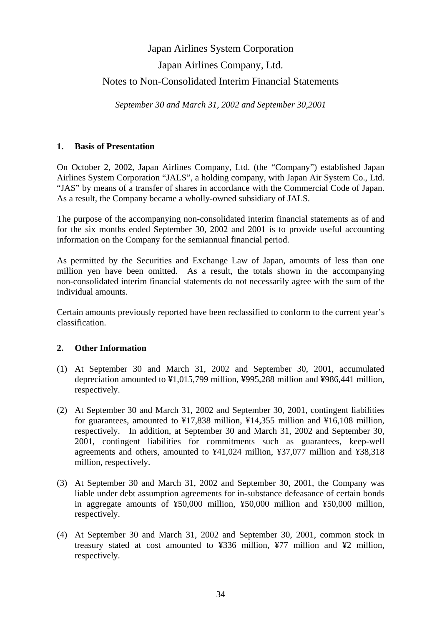# Japan Airlines System Corporation Japan Airlines Company, Ltd. Notes to Non-Consolidated Interim Financial Statements

*September 30 and March 31, 2002 and September 30,2001*

# **1. Basis of Presentation**

On October 2, 2002, Japan Airlines Company, Ltd. (the "Company") established Japan Airlines System Corporation "JALS", a holding company, with Japan Air System Co., Ltd. "JAS" by means of a transfer of shares in accordance with the Commercial Code of Japan. As a result, the Company became a wholly-owned subsidiary of JALS.

The purpose of the accompanying non-consolidated interim financial statements as of and for the six months ended September 30, 2002 and 2001 is to provide useful accounting information on the Company for the semiannual financial period.

As permitted by the Securities and Exchange Law of Japan, amounts of less than one million yen have been omitted. As a result, the totals shown in the accompanying non-consolidated interim financial statements do not necessarily agree with the sum of the individual amounts.

Certain amounts previously reported have been reclassified to conform to the current year's classification.

# **2. Other Information**

- (1) At September 30 and March 31, 2002 and September 30, 2001, accumulated depreciation amounted to ¥1,015,799 million, ¥995,288 million and ¥986,441 million, respectively.
- (2) At September 30 and March 31, 2002 and September 30, 2001, contingent liabilities for guarantees, amounted to ¥17,838 million, ¥14,355 million and ¥16,108 million, respectively. In addition, at September 30 and March 31, 2002 and September 30, 2001, contingent liabilities for commitments such as guarantees, keep-well agreements and others, amounted to ¥41,024 million, ¥37,077 million and ¥38,318 million, respectively.
- (3) At September 30 and March 31, 2002 and September 30, 2001, the Company was liable under debt assumption agreements for in-substance defeasance of certain bonds in aggregate amounts of ¥50,000 million, ¥50,000 million and ¥50,000 million, respectively.
- (4) At September 30 and March 31, 2002 and September 30, 2001, common stock in treasury stated at cost amounted to ¥336 million, ¥77 million and ¥2 million, respectively.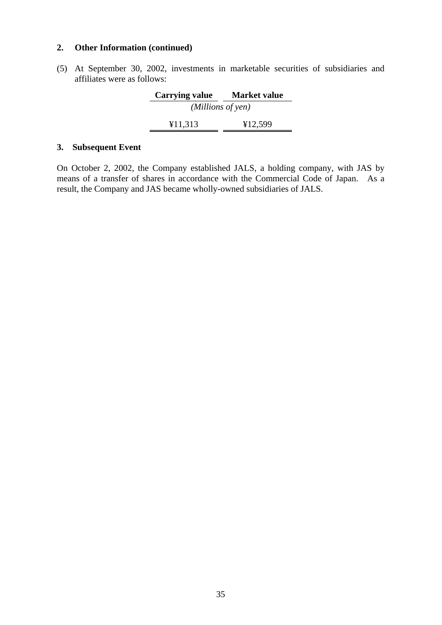# **2. Other Information (continued)**

(5) At September 30, 2002, investments in marketable securities of subsidiaries and affiliates were as follows:

| <b>Carrying value</b> | <b>Market value</b> |  |
|-----------------------|---------------------|--|
| (Millions of yen)     |                     |  |
| ¥11,313               | ¥12,599             |  |

# **3. Subsequent Event**

On October 2, 2002, the Company established JALS, a holding company, with JAS by means of a transfer of shares in accordance with the Commercial Code of Japan. As a result, the Company and JAS became wholly-owned subsidiaries of JALS.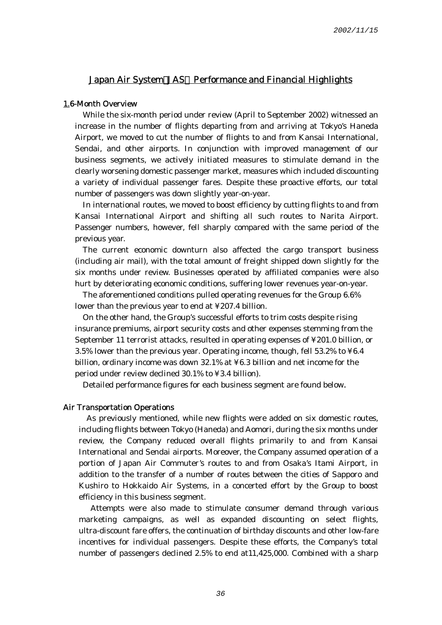#### Japan Air System JAS Performance and Financial Highlights

#### 1.6-Month Overview

While the six-month period under review (April to September 2002) witnessed an increase in the number of flights departing from and arriving at Tokyo's Haneda Airport, we moved to cut the number of flights to and from Kansai International, Sendai, and other airports. In conjunction with improved management of our business segments, we actively initiated measures to stimulate demand in the clearly worsening domestic passenger market, measures which included discounting a variety of individual passenger fares. Despite these proactive efforts, our total number of passengers was down slightly year-on-year.

In international routes, we moved to boost efficiency by cutting flights to and from Kansai International Airport and shifting all such routes to Narita Airport. Passenger numbers, however, fell sharply compared with the same period of the previous year.

The current economic downturn also affected the cargo transport business (including air mail), with the total amount of freight shipped down slightly for the six months under review. Businesses operated by affiliated companies were also hurt by deteriorating economic conditions, suffering lower revenues year-on-year.

The aforementioned conditions pulled operating revenues for the Group 6.6% lower than the previous year to end at ¥207.4 billion.

On the other hand, the Group's successful efforts to trim costs despite rising insurance premiums, airport security costs and other expenses stemming from the September 11 terrorist attacks, resulted in operating expenses of ¥201.0 billion, or 3.5% lower than the previous year. Operating income, though, fell 53.2% to ¥6.4 billion, ordinary income was down 32.1% at ¥6.3 billion and net income for the period under review declined 30.1% to ¥3.4 billion).

Detailed performance figures for each business segment are found below.

#### Air Transportation Operations

As previously mentioned, while new flights were added on six domestic routes, including flights between Tokyo (Haneda) and Aomori, during the six months under review, the Company reduced overall flights primarily to and from Kansai International and Sendai airports. Moreover, the Company assumed operation of a portion of Japan Air Commuter's routes to and from Osaka's Itami Airport, in addition to the transfer of a number of routes between the cities of Sapporo and Kushiro to Hokkaido Air Systems, in a concerted effort by the Group to boost efficiency in this business segment.

 Attempts were also made to stimulate consumer demand through various marketing campaigns, as well as expanded discounting on select flights, ultra-discount fare offers, the continuation of birthday discounts and other low-fare incentives for individual passengers. Despite these efforts, the Company's total number of passengers declined 2.5% to end at11,425,000. Combined with a sharp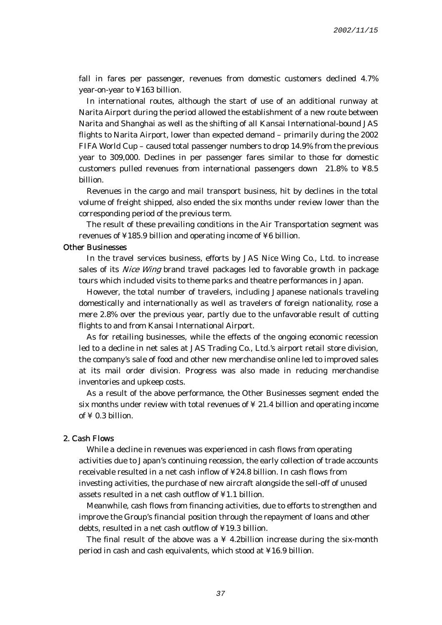fall in fares per passenger, revenues from domestic customers declined 4.7% year-on-year to ¥163 billion.

In international routes, although the start of use of an additional runway at Narita Airport during the period allowed the establishment of a new route between Narita and Shanghai as well as the shifting of all Kansai International-bound JAS flights to Narita Airport, lower than expected demand – primarily during the 2002 FIFA World Cup – caused total passenger numbers to drop 14.9% from the previous year to 309,000. Declines in per passenger fares similar to those for domestic customers pulled revenues from international passengers down 21.8% to ¥8.5 billion.

Revenues in the cargo and mail transport business, hit by declines in the total volume of freight shipped, also ended the six months under review lower than the corresponding period of the previous term.

The result of these prevailing conditions in the Air Transportation segment was revenues of ¥185.9 billion and operating income of ¥6 billion.

#### Other Businesses

In the travel services business, efforts by JAS Nice Wing Co., Ltd. to increase sales of its Nice Wing brand travel packages led to favorable growth in package tours which included visits to theme parks and theatre performances in Japan.

However, the total number of travelers, including Japanese nationals traveling domestically and internationally as well as travelers of foreign nationality, rose a mere 2.8% over the previous year, partly due to the unfavorable result of cutting flights to and from Kansai International Airport.

As for retailing businesses, while the effects of the ongoing economic recession led to a decline in net sales at JAS Trading Co., Ltd.'s airport retail store division, the company's sale of food and other new merchandise online led to improved sales at its mail order division. Progress was also made in reducing merchandise inventories and upkeep costs.

As a result of the above performance, the Other Businesses segment ended the six months under review with total revenues of  $\angle$  21.4 billion and operating income of  $\angle$  0.3 billion.

#### 2. Cash Flows

While a decline in revenues was experienced in cash flows from operating activities due to Japan's continuing recession, the early collection of trade accounts receivable resulted in a net cash inflow of ¥24.8 billion. In cash flows from investing activities, the purchase of new aircraft alongside the sell-off of unused assets resulted in a net cash outflow of ¥1.1 billion.

Meanwhile, cash flows from financing activities, due to efforts to strengthen and improve the Group's financial position through the repayment of loans and other debts, resulted in a net cash outflow of ¥19.3 billion.

The final result of the above was a  $\angle$  4.2billion increase during the six-month period in cash and cash equivalents, which stood at ¥16.9 billion.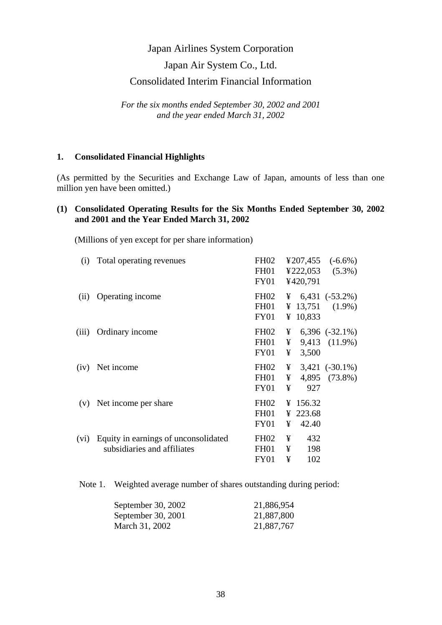# Japan Air System Co., Ltd.

# Consolidated Interim Financial Information

*For the six months ended September 30, 2002 and 2001 and the year ended March 31, 2002* 

#### **1. Consolidated Financial Highlights**

(As permitted by the Securities and Exchange Law of Japan, amounts of less than one million yen have been omitted.)

## **(1) Consolidated Operating Results for the Six Months Ended September 30, 2002 and 2001 and the Year Ended March 31, 2002**

(Millions of yen except for per share information)

| (i)   | Total operating revenues                                            | <b>FH02</b><br>FH01<br>FY01                         |             | ¥420,791                      | $\text{\textsterling}207,455$ (-6.6%)<br>$\text{\textsterling}222,053$ (5.3%) |
|-------|---------------------------------------------------------------------|-----------------------------------------------------|-------------|-------------------------------|-------------------------------------------------------------------------------|
| (ii)  | Operating income                                                    | FH <sub>02</sub><br>FH01<br><b>FY01</b>             | ¥           | 10,833                        | $\frac{1}{2}$ 6,431 (-53.2%)<br>¥ 13,751 $(1.9\%)$                            |
| (iii) | Ordinary income                                                     | FH <sub>02</sub><br>FH01<br>FY01                    | ¥<br>¥<br>¥ | 3,500                         | $6,396$ $(-32.1\%)$<br>9,413 (11.9%)                                          |
| (iv)  | Net income                                                          | FH <sub>02</sub><br>FH01<br>FY01                    | ¥<br>¥<br>¥ | 927                           | $3,421$ $(-30.1\%)$<br>4,895 (73.8%)                                          |
| (V)   | Net income per share                                                | <b>FH02</b><br><b>FH01</b><br><b>FY01</b>           | ¥           | ¥ 156.32<br>¥ 223.68<br>42.40 |                                                                               |
| (vi)  | Equity in earnings of unconsolidated<br>subsidiaries and affiliates | FH <sub>02</sub><br>FH <sub>01</sub><br><b>FY01</b> | ¥<br>¥<br>¥ | 432<br>198<br>102             |                                                                               |

Note 1. Weighted average number of shares outstanding during period:

| September 30, 2002 | 21,886,954 |
|--------------------|------------|
| September 30, 2001 | 21,887,800 |
| March 31, 2002     | 21,887,767 |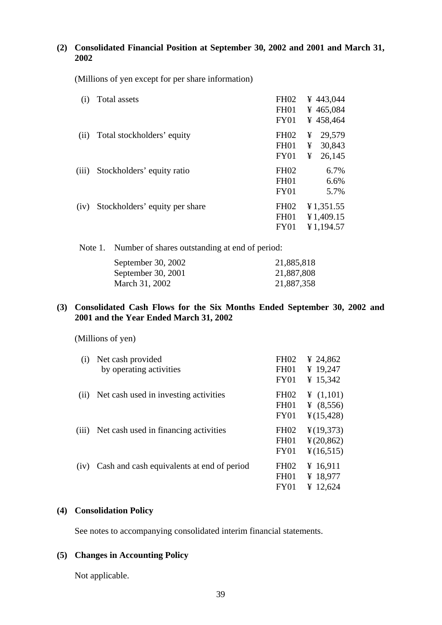# **(2) Consolidated Financial Position at September 30, 2002 and 2001 and March 31, 2002**

(Millions of yen except for per share information)

| (i)   | Total assets                   | <b>FH02</b><br>FH <sub>01</sub><br>FY01 | ¥ 443,044<br>¥ 465,084<br>¥458,464        |
|-------|--------------------------------|-----------------------------------------|-------------------------------------------|
| (ii)  | Total stockholders' equity     | <b>FH02</b><br><b>FH01</b><br>FY01      | 29,579<br>¥<br>30,843<br>¥<br>¥<br>26,145 |
| (iii) | Stockholders' equity ratio     | <b>FH02</b><br><b>FH01</b><br>FY01      | 6.7%<br>6.6%<br>5.7%                      |
| (iv)  | Stockholders' equity per share | <b>FH02</b><br><b>FH01</b><br>FY01      | ¥1,351.55<br>¥1,409.15<br>¥1,194.57       |

| Note 1. Number of shares outstanding at end of period: |            |  |
|--------------------------------------------------------|------------|--|
| September 30, 2002                                     | 21,885,818 |  |
| September 30, 2001                                     | 21,887,808 |  |
| March 31, 2002                                         | 21,887,358 |  |
|                                                        |            |  |

# **(3) Consolidated Cash Flows for the Six Months Ended September 30, 2002 and 2001 and the Year Ended March 31, 2002**

(Millions of yen)

| (i)   | Net cash provided<br>by operating activities | FH <sub>02</sub><br>FH <sub>01</sub><br>FY01   | ¥ 24,862<br>¥ 19,247<br>¥ 15,342                                      |
|-------|----------------------------------------------|------------------------------------------------|-----------------------------------------------------------------------|
| (i)   | Net cash used in investing activities        | <b>FH02</b><br>FH <sub>01</sub><br><b>FY01</b> | ¥ $(1,101)$<br>¥ $(8,556)$<br>$\frac{1}{2}(15,428)$                   |
| (iii) | Net cash used in financing activities        | <b>FH02</b><br><b>FH01</b><br>FY01             | $\frac{1}{2}(19,373)$<br>$\frac{1}{2}(20, 862)$<br>$\frac{4}{16,515}$ |
| (iv)  | Cash and cash equivalents at end of period   | <b>FH02</b><br>FH <sub>01</sub><br>FY01        | ¥ 16,911<br>¥ 18,977<br>¥ 12,624                                      |

## **(4) Consolidation Policy**

See notes to accompanying consolidated interim financial statements.

# **(5) Changes in Accounting Policy**

Not applicable.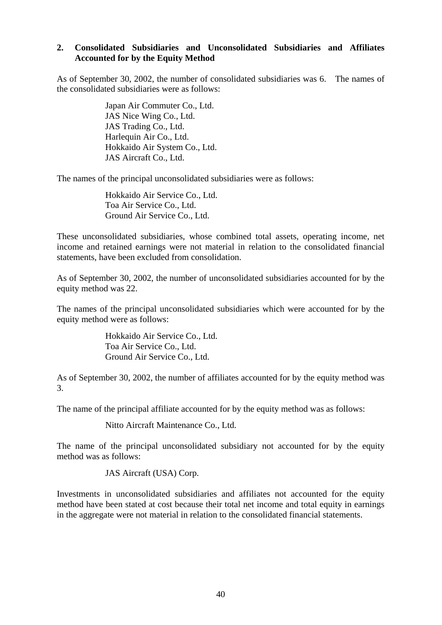## **2. Consolidated Subsidiaries and Unconsolidated Subsidiaries and Affiliates Accounted for by the Equity Method**

As of September 30, 2002, the number of consolidated subsidiaries was 6. The names of the consolidated subsidiaries were as follows:

> Japan Air Commuter Co., Ltd. JAS Nice Wing Co., Ltd. JAS Trading Co., Ltd. Harlequin Air Co., Ltd. Hokkaido Air System Co., Ltd. JAS Aircraft Co., Ltd.

The names of the principal unconsolidated subsidiaries were as follows:

Hokkaido Air Service Co., Ltd. Toa Air Service Co., Ltd. Ground Air Service Co., Ltd.

These unconsolidated subsidiaries, whose combined total assets, operating income, net income and retained earnings were not material in relation to the consolidated financial statements, have been excluded from consolidation.

As of September 30, 2002, the number of unconsolidated subsidiaries accounted for by the equity method was 22.

The names of the principal unconsolidated subsidiaries which were accounted for by the equity method were as follows:

> Hokkaido Air Service Co., Ltd. Toa Air Service Co., Ltd. Ground Air Service Co., Ltd.

As of September 30, 2002, the number of affiliates accounted for by the equity method was 3.

The name of the principal affiliate accounted for by the equity method was as follows:

Nitto Aircraft Maintenance Co., Ltd.

The name of the principal unconsolidated subsidiary not accounted for by the equity method was as follows:

JAS Aircraft (USA) Corp.

Investments in unconsolidated subsidiaries and affiliates not accounted for the equity method have been stated at cost because their total net income and total equity in earnings in the aggregate were not material in relation to the consolidated financial statements.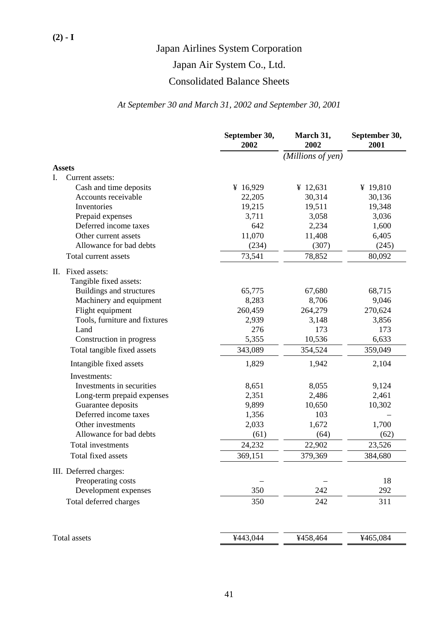Japan Air System Co., Ltd.

# Consolidated Balance Sheets

# *At September 30 and March 31, 2002 and September 30, 2001*

|                                             | September 30,<br>2002 | March 31,<br>2002 | September 30,<br>2001 |
|---------------------------------------------|-----------------------|-------------------|-----------------------|
|                                             |                       | (Millions of yen) |                       |
| <b>Assets</b>                               |                       |                   |                       |
| I.<br>Current assets:                       |                       |                   |                       |
| Cash and time deposits                      | ¥ 16,929              | ¥ $12,631$        | ¥ 19,810              |
| Accounts receivable                         | 22,205                | 30,314            | 30,136                |
| Inventories                                 | 19,215                | 19,511            | 19,348                |
| Prepaid expenses                            | 3,711                 | 3,058             | 3,036                 |
| Deferred income taxes                       | 642                   | 2,234             | 1,600                 |
| Other current assets                        | 11,070                | 11,408            | 6,405                 |
| Allowance for bad debts                     | (234)                 | (307)             | (245)                 |
| Total current assets                        | 73,541                | 78,852            | 80,092                |
| II. Fixed assets:<br>Tangible fixed assets: |                       |                   |                       |
| Buildings and structures                    | 65,775                | 67,680            | 68,715                |
| Machinery and equipment                     | 8,283                 | 8,706             | 9,046                 |
| Flight equipment                            | 260,459               | 264,279           | 270,624               |
| Tools, furniture and fixtures               | 2,939                 | 3,148             | 3,856                 |
| Land                                        | 276                   | 173               | 173                   |
| Construction in progress                    | 5,355                 | 10,536            | 6,633                 |
| Total tangible fixed assets                 | 343,089               | 354,524           | 359,049               |
| Intangible fixed assets                     | 1,829                 | 1,942             | 2,104                 |
| Investments:                                |                       |                   |                       |
| Investments in securities                   | 8,651                 | 8,055             | 9,124                 |
| Long-term prepaid expenses                  | 2,351                 | 2,486             | 2,461                 |
| Guarantee deposits                          | 9,899                 | 10,650            | 10,302                |
| Deferred income taxes                       | 1,356                 | 103               |                       |
| Other investments                           | 2,033                 | 1,672             | 1,700                 |
| Allowance for bad debts                     | (61)                  | (64)              | (62)                  |
| <b>Total investments</b>                    | 24,232                | 22,902            | 23,526                |
| Total fixed assets                          | 369,151               | 379,369           | 384,680               |
| III. Deferred charges:                      |                       |                   |                       |
| Preoperating costs                          |                       |                   | 18                    |
| Development expenses                        | 350                   | 242               | 292                   |
| Total deferred charges                      | 350                   | 242               | 311                   |
| Total assets                                | ¥443,044              | ¥458,464          | ¥465,084              |
|                                             |                       |                   |                       |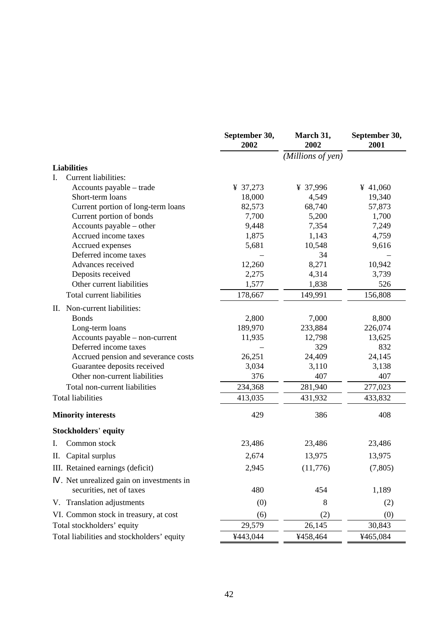|    |                                            | September 30,<br>2002 | March 31,<br>2002 | September 30,<br>2001 |
|----|--------------------------------------------|-----------------------|-------------------|-----------------------|
|    |                                            |                       | (Millions of yen) |                       |
|    | <b>Liabilities</b>                         |                       |                   |                       |
| L. | <b>Current liabilities:</b>                |                       |                   |                       |
|    | Accounts payable – trade                   | ¥ 37,273              | ¥ 37,996          | ¥ 41,060              |
|    | Short-term loans                           | 18,000                | 4,549             | 19,340                |
|    | Current portion of long-term loans         | 82,573                | 68,740            | 57,873                |
|    | Current portion of bonds                   | 7,700                 | 5,200             | 1,700                 |
|    | Accounts payable – other                   | 9,448                 | 7,354             | 7,249                 |
|    | Accrued income taxes                       | 1,875                 | 1,143             | 4,759                 |
|    | Accrued expenses                           | 5,681                 | 10,548            | 9,616                 |
|    | Deferred income taxes                      |                       | 34                |                       |
|    | Advances received                          | 12,260                | 8,271             | 10,942                |
|    | Deposits received                          | 2,275                 | 4,314             | 3,739                 |
|    | Other current liabilities                  | 1,577                 | 1,838             | 526                   |
|    | Total current liabilities                  | 178,667               | 149,991           | 156,808               |
|    | II. Non-current liabilities:               |                       |                   |                       |
|    | <b>Bonds</b>                               | 2,800                 | 7,000             | 8,800                 |
|    | Long-term loans                            | 189,970               | 233,884           | 226,074               |
|    | Accounts payable – non-current             | 11,935                | 12,798            | 13,625                |
|    | Deferred income taxes                      |                       | 329               | 832                   |
|    | Accrued pension and severance costs        | 26,251                | 24,409            | 24,145                |
|    | Guarantee deposits received                | 3,034                 | 3,110             | 3,138                 |
|    | Other non-current liabilities              | 376                   | 407               | 407                   |
|    | Total non-current liabilities              | 234,368               | 281,940           | 277,023               |
|    | <b>Total liabilities</b>                   | 413,035               | 431,932           | 433,832               |
|    | <b>Minority interests</b>                  | 429                   | 386               | 408                   |
|    | <b>Stockholders' equity</b>                |                       |                   |                       |
| I. | Common stock                               | 23,486                | 23,486            | 23,486                |
|    | II. Capital surplus                        | 2,674                 | 13,975            | 13,975                |
|    | III. Retained earnings (deficit)           | 2,945                 | (11,776)          | (7, 805)              |
|    | . Net unrealized gain on investments in    |                       |                   |                       |
|    | securities, net of taxes                   | 480                   | 454               | 1,189                 |
|    | V. Translation adjustments                 | (0)                   | 8                 | (2)                   |
|    | VI. Common stock in treasury, at cost      | (6)                   | (2)               | (0)                   |
|    | Total stockholders' equity                 | 29,579                | 26,145            | 30,843                |
|    | Total liabilities and stockholders' equity | ¥443,044              | ¥458,464          | ¥465,084              |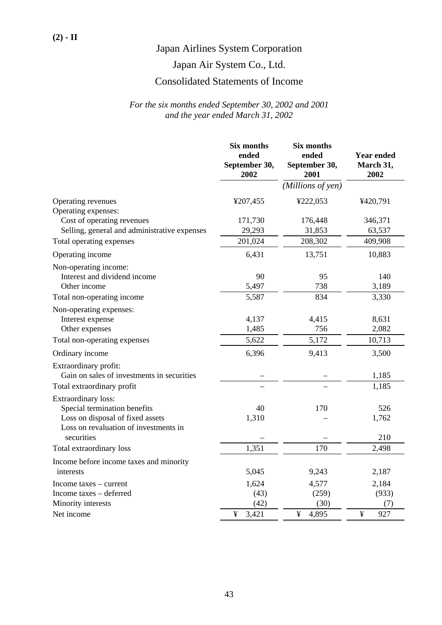# Japan Air System Co., Ltd.

# Consolidated Statements of Income

|                                              | Six months<br>ended<br>September 30,<br>2002 | <b>Six months</b><br>ended<br>September 30,<br>2001 | <b>Year ended</b><br>March 31,<br>2002 |
|----------------------------------------------|----------------------------------------------|-----------------------------------------------------|----------------------------------------|
|                                              |                                              | (Millions of yen)                                   |                                        |
| Operating revenues                           | ¥207,455                                     | ¥222,053                                            | ¥420,791                               |
| Operating expenses:                          |                                              |                                                     |                                        |
| Cost of operating revenues                   | 171,730                                      | 176,448                                             | 346,371                                |
| Selling, general and administrative expenses | 29,293                                       | 31,853                                              | 63,537                                 |
| Total operating expenses                     | 201,024                                      | 208,302                                             | 409,908                                |
| Operating income                             | 6,431                                        | 13,751                                              | 10,883                                 |
| Non-operating income:                        |                                              |                                                     |                                        |
| Interest and dividend income                 | 90                                           | 95                                                  | 140                                    |
| Other income                                 | 5,497                                        | 738                                                 | 3,189                                  |
| Total non-operating income                   | 5,587                                        | 834                                                 | 3,330                                  |
| Non-operating expenses:                      |                                              |                                                     |                                        |
| Interest expense                             | 4,137                                        | 4,415                                               | 8,631                                  |
| Other expenses                               | 1,485                                        | 756                                                 | 2,082                                  |
| Total non-operating expenses                 | 5,622                                        | 5,172                                               | 10,713                                 |
| Ordinary income                              | 6,396                                        | 9,413                                               | 3,500                                  |
| Extraordinary profit:                        |                                              |                                                     |                                        |
| Gain on sales of investments in securities   |                                              |                                                     | 1,185                                  |
| Total extraordinary profit                   |                                              |                                                     | 1,185                                  |
| Extraordinary loss:                          |                                              |                                                     |                                        |
| Special termination benefits                 | 40                                           | 170                                                 | 526                                    |
| Loss on disposal of fixed assets             | 1,310                                        |                                                     | 1,762                                  |
| Loss on revaluation of investments in        |                                              |                                                     |                                        |
| securities                                   |                                              |                                                     | 210                                    |
| Total extraordinary loss                     | 1,351                                        | 170                                                 | 2,498                                  |
| Income before income taxes and minority      |                                              |                                                     |                                        |
| interests                                    | 5,045                                        | 9,243                                               | 2,187                                  |
| Income taxes – current                       | 1,624                                        | 4,577                                               | 2,184                                  |
| Income taxes - deferred                      | (43)                                         | (259)                                               | (933)                                  |
| Minority interests                           | (42)                                         | (30)                                                | (7)                                    |
| Net income                                   | ¥<br>3,421                                   | ¥<br>4,895                                          | ¥<br>927                               |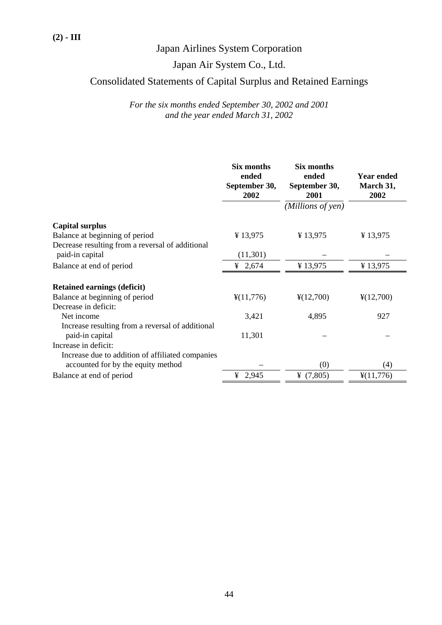# Japan Air System Co., Ltd.

# Consolidated Statements of Capital Surplus and Retained Earnings

|                                                  | Six months<br>ended<br>September 30,<br>2002 | Six months<br>ended<br>September 30,<br>2001 | <b>Year ended</b><br>March 31,<br>2002 |
|--------------------------------------------------|----------------------------------------------|----------------------------------------------|----------------------------------------|
|                                                  |                                              | (Millions of yen)                            |                                        |
| <b>Capital surplus</b>                           |                                              |                                              |                                        |
| Balance at beginning of period                   | ¥13,975                                      | ¥13,975                                      | ¥13,975                                |
| Decrease resulting from a reversal of additional |                                              |                                              |                                        |
| paid-in capital                                  | (11,301)                                     |                                              |                                        |
| Balance at end of period                         | ¥ 2,674                                      | ¥13,975                                      | ¥13,975                                |
|                                                  |                                              |                                              |                                        |
| <b>Retained earnings (deficit)</b>               |                                              |                                              |                                        |
| Balance at beginning of period                   | $\frac{4}{11,776}$                           | $\frac{1}{2}(12,700)$                        | $\frac{1}{2}(12,700)$                  |
| Decrease in deficit:                             |                                              |                                              |                                        |
| Net income                                       | 3,421                                        | 4,895                                        | 927                                    |
| Increase resulting from a reversal of additional |                                              |                                              |                                        |
| paid-in capital                                  | 11,301                                       |                                              |                                        |
| Increase in deficit:                             |                                              |                                              |                                        |
| Increase due to addition of affiliated companies |                                              |                                              |                                        |
| accounted for by the equity method               |                                              | (0)                                          | (4)                                    |
| Balance at end of period                         | ¥ 2,945                                      | ¥ $(7,805)$                                  | $\frac{1}{2}(11,776)$                  |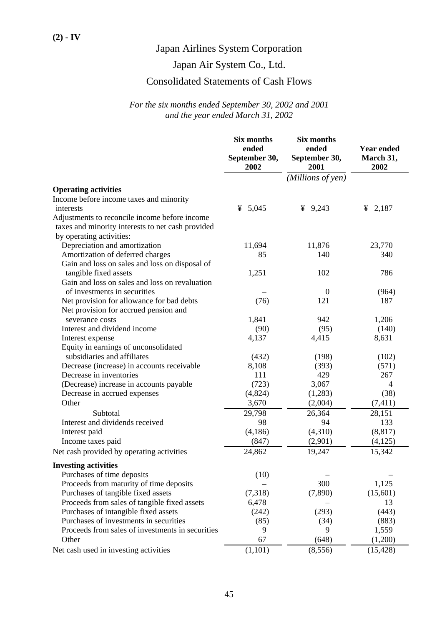# Japan Air System Co., Ltd.

# Consolidated Statements of Cash Flows

|                                                   | Six months<br>ended<br>September 30,<br>2002 | Six months<br>ended<br>September 30,<br>2001 | <b>Year ended</b><br>March 31,<br>2002 |
|---------------------------------------------------|----------------------------------------------|----------------------------------------------|----------------------------------------|
|                                                   |                                              | (Millions of yen)                            |                                        |
| <b>Operating activities</b>                       |                                              |                                              |                                        |
| Income before income taxes and minority           |                                              |                                              |                                        |
| interests                                         | 5,045<br>¥                                   | ¥ 9,243                                      | ¥ 2,187                                |
| Adjustments to reconcile income before income     |                                              |                                              |                                        |
| taxes and minority interests to net cash provided |                                              |                                              |                                        |
| by operating activities:                          |                                              |                                              |                                        |
| Depreciation and amortization                     | 11,694                                       | 11,876                                       | 23,770                                 |
| Amortization of deferred charges                  | 85                                           | 140                                          | 340                                    |
| Gain and loss on sales and loss on disposal of    |                                              |                                              |                                        |
| tangible fixed assets                             | 1,251                                        | 102                                          | 786                                    |
| Gain and loss on sales and loss on revaluation    |                                              |                                              |                                        |
| of investments in securities                      |                                              | $\boldsymbol{0}$                             | (964)                                  |
| Net provision for allowance for bad debts         | (76)                                         | 121                                          | 187                                    |
| Net provision for accrued pension and             |                                              |                                              |                                        |
| severance costs                                   | 1,841                                        | 942                                          | 1,206                                  |
| Interest and dividend income                      | (90)                                         | (95)                                         | (140)                                  |
| Interest expense                                  | 4,137                                        | 4,415                                        | 8,631                                  |
| Equity in earnings of unconsolidated              |                                              |                                              |                                        |
| subsidiaries and affiliates                       | (432)                                        | (198)                                        | (102)                                  |
| Decrease (increase) in accounts receivable        | 8,108                                        | (393)                                        | (571)                                  |
| Decrease in inventories                           | 111                                          | 429                                          | 267                                    |
| (Decrease) increase in accounts payable           | (723)                                        | 3,067                                        | 4                                      |
| Decrease in accrued expenses                      | (4,824)                                      | (1,283)                                      | (38)                                   |
| Other                                             | 3,670                                        | (2,004)                                      | (7, 411)                               |
| Subtotal                                          | 29,798                                       | 26,364                                       | 28,151                                 |
| Interest and dividends received                   | 98                                           | 94                                           | 133                                    |
| Interest paid                                     | (4,186)                                      | (4,310)                                      | (8, 817)                               |
| Income taxes paid                                 | (847)                                        | (2,901)                                      | (4,125)                                |
| Net cash provided by operating activities         | 24,862                                       | 19,247                                       | 15,342                                 |
| <b>Investing activities</b>                       |                                              |                                              |                                        |
| Purchases of time deposits                        | (10)                                         |                                              |                                        |
| Proceeds from maturity of time deposits           |                                              | 300                                          | 1,125                                  |
| Purchases of tangible fixed assets                | (7,318)                                      | (7,890)                                      | (15,601)                               |
| Proceeds from sales of tangible fixed assets      | 6,478                                        |                                              | 13                                     |
| Purchases of intangible fixed assets              | (242)                                        | (293)                                        | (443)                                  |
| Purchases of investments in securities            | (85)                                         | (34)                                         | (883)                                  |
| Proceeds from sales of investments in securities  | 9                                            | 9                                            | 1,559                                  |
| Other                                             | 67                                           | (648)                                        | (1,200)                                |
| Net cash used in investing activities             | (1,101)                                      | (8,556)                                      | (15, 428)                              |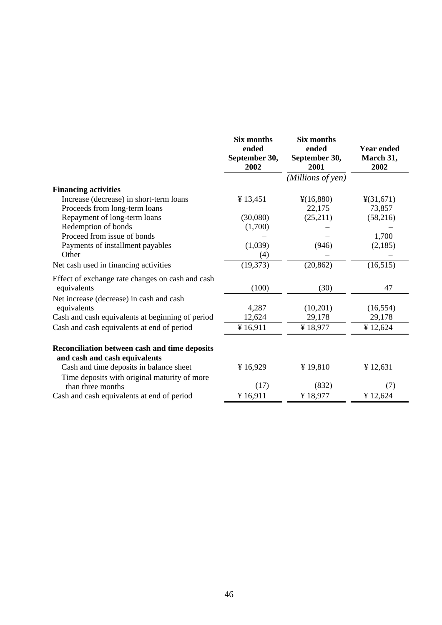|                                                                                | <b>Six months</b><br>ended<br>September 30,<br>2002 | <b>Six months</b><br>ended<br>September 30,<br>2001 | <b>Year ended</b><br>March 31,<br>2002 |
|--------------------------------------------------------------------------------|-----------------------------------------------------|-----------------------------------------------------|----------------------------------------|
|                                                                                |                                                     | (Millions of yen)                                   |                                        |
| <b>Financing activities</b>                                                    |                                                     |                                                     |                                        |
| Increase (decrease) in short-term loans                                        | ¥ 13,451                                            | $\frac{1}{2}(16,880)$                               | $\frac{4(31,671)}{}$                   |
| Proceeds from long-term loans                                                  |                                                     | 22,175                                              | 73,857                                 |
| Repayment of long-term loans                                                   | (30,080)                                            | (25,211)                                            | (58,216)                               |
| Redemption of bonds                                                            | (1,700)                                             |                                                     |                                        |
| Proceed from issue of bonds                                                    |                                                     |                                                     | 1,700                                  |
| Payments of installment payables                                               | (1,039)                                             | (946)                                               | (2,185)                                |
| Other                                                                          | (4)                                                 |                                                     |                                        |
| Net cash used in financing activities                                          | (19, 373)                                           | (20, 862)                                           | (16, 515)                              |
| Effect of exchange rate changes on cash and cash<br>equivalents                | (100)                                               | (30)                                                | 47                                     |
| Net increase (decrease) in cash and cash                                       |                                                     |                                                     |                                        |
| equivalents                                                                    | 4,287                                               | (10,201)                                            | (16, 554)                              |
| Cash and cash equivalents at beginning of period                               | 12,624                                              | 29,178                                              | 29,178                                 |
| Cash and cash equivalents at end of period                                     | ¥16,911                                             | ¥18,977                                             | ¥ 12,624                               |
| Reconciliation between cash and time deposits<br>and cash and cash equivalents |                                                     |                                                     |                                        |
| Cash and time deposits in balance sheet                                        | ¥16,929                                             | ¥19,810                                             | ¥12,631                                |
| Time deposits with original maturity of more                                   |                                                     |                                                     |                                        |
| than three months                                                              | (17)                                                | (832)                                               | (7)                                    |
| Cash and cash equivalents at end of period                                     | ¥16,911                                             | ¥18,977                                             | ¥12,624                                |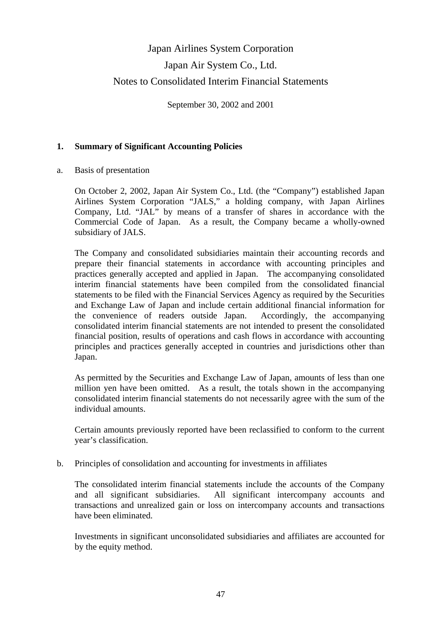# Japan Airlines System Corporation Japan Air System Co., Ltd. Notes to Consolidated Interim Financial Statements

September 30, 2002 and 2001

# **1. Summary of Significant Accounting Policies**

a. Basis of presentation

 On October 2, 2002, Japan Air System Co., Ltd. (the "Company") established Japan Airlines System Corporation "JALS," a holding company, with Japan Airlines Company, Ltd. "JAL" by means of a transfer of shares in accordance with the Commercial Code of Japan. As a result, the Company became a wholly-owned subsidiary of JALS.

 The Company and consolidated subsidiaries maintain their accounting records and prepare their financial statements in accordance with accounting principles and practices generally accepted and applied in Japan. The accompanying consolidated interim financial statements have been compiled from the consolidated financial statements to be filed with the Financial Services Agency as required by the Securities and Exchange Law of Japan and include certain additional financial information for the convenience of readers outside Japan. Accordingly, the accompanying consolidated interim financial statements are not intended to present the consolidated financial position, results of operations and cash flows in accordance with accounting principles and practices generally accepted in countries and jurisdictions other than Japan.

 As permitted by the Securities and Exchange Law of Japan, amounts of less than one million yen have been omitted. As a result, the totals shown in the accompanying consolidated interim financial statements do not necessarily agree with the sum of the individual amounts.

 Certain amounts previously reported have been reclassified to conform to the current year's classification.

b. Principles of consolidation and accounting for investments in affiliates

 The consolidated interim financial statements include the accounts of the Company and all significant subsidiaries. All significant intercompany accounts and transactions and unrealized gain or loss on intercompany accounts and transactions have been eliminated.

 Investments in significant unconsolidated subsidiaries and affiliates are accounted for by the equity method.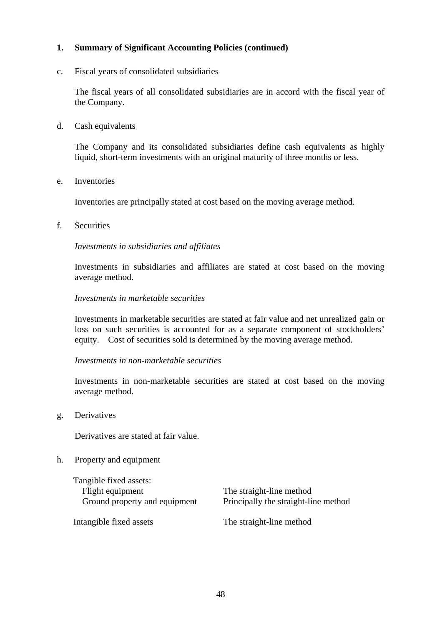c. Fiscal years of consolidated subsidiaries

 The fiscal years of all consolidated subsidiaries are in accord with the fiscal year of the Company.

d. Cash equivalents

 The Company and its consolidated subsidiaries define cash equivalents as highly liquid, short-term investments with an original maturity of three months or less.

e. Inventories

Inventories are principally stated at cost based on the moving average method.

f. Securities

 *Investments in subsidiaries and affiliates* 

 Investments in subsidiaries and affiliates are stated at cost based on the moving average method.

### *Investments in marketable securities*

 Investments in marketable securities are stated at fair value and net unrealized gain or loss on such securities is accounted for as a separate component of stockholders' equity. Cost of securities sold is determined by the moving average method.

#### *Investments in non-marketable securities*

 Investments in non-marketable securities are stated at cost based on the moving average method.

g. Derivatives

Derivatives are stated at fair value.

#### h. Property and equipment

Tangible fixed assets: Flight equipment The straight-line method

Ground property and equipment Principally the straight-line method

Intangible fixed assets The straight-line method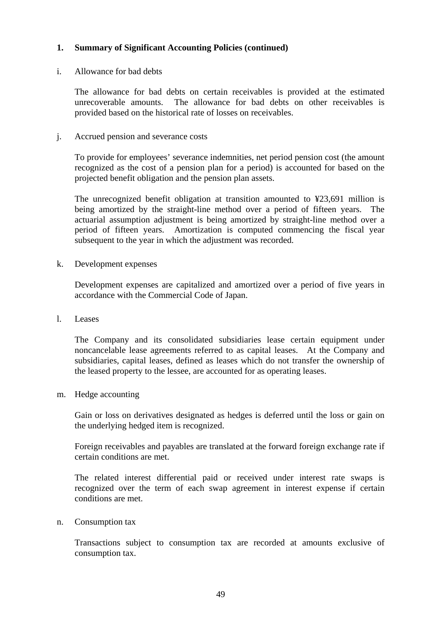## i. Allowance for bad debts

 The allowance for bad debts on certain receivables is provided at the estimated unrecoverable amounts. The allowance for bad debts on other receivables is provided based on the historical rate of losses on receivables.

## j. Accrued pension and severance costs

 To provide for employees' severance indemnities, net period pension cost (the amount recognized as the cost of a pension plan for a period) is accounted for based on the projected benefit obligation and the pension plan assets.

 The unrecognized benefit obligation at transition amounted to ¥23,691 million is being amortized by the straight-line method over a period of fifteen years. The actuarial assumption adjustment is being amortized by straight-line method over a period of fifteen years. Amortization is computed commencing the fiscal year subsequent to the year in which the adjustment was recorded.

k. Development expenses

 Development expenses are capitalized and amortized over a period of five years in accordance with the Commercial Code of Japan.

l. Leases

 The Company and its consolidated subsidiaries lease certain equipment under noncancelable lease agreements referred to as capital leases. At the Company and subsidiaries, capital leases, defined as leases which do not transfer the ownership of the leased property to the lessee, are accounted for as operating leases.

m. Hedge accounting

 Gain or loss on derivatives designated as hedges is deferred until the loss or gain on the underlying hedged item is recognized.

 Foreign receivables and payables are translated at the forward foreign exchange rate if certain conditions are met.

 The related interest differential paid or received under interest rate swaps is recognized over the term of each swap agreement in interest expense if certain conditions are met.

n. Consumption tax

 Transactions subject to consumption tax are recorded at amounts exclusive of consumption tax.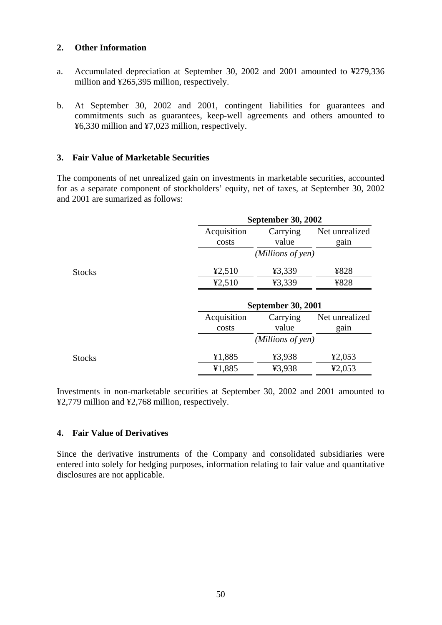## **2. Other Information**

- a. Accumulated depreciation at September 30, 2002 and 2001 amounted to ¥279,336 million and ¥265,395 million, respectively.
- b. At September 30, 2002 and 2001, contingent liabilities for guarantees and commitments such as guarantees, keep-well agreements and others amounted to ¥6,330 million and ¥7,023 million, respectively.

# **3. Fair Value of Marketable Securities**

The components of net unrealized gain on investments in marketable securities, accounted for as a separate component of stockholders' equity, net of taxes, at September 30, 2002 and 2001 are sumarized as follows:

|               |                      | <b>September 30, 2002</b> |                        |
|---------------|----------------------|---------------------------|------------------------|
|               | Acquisition<br>costs | Carrying<br>value         | Net unrealized<br>gain |
|               |                      | (Millions of yen)         |                        |
| <b>Stocks</b> | 42,510               | ¥3,339                    | ¥828                   |
|               | 42,510               | ¥3,339                    | ¥828                   |
|               |                      | <b>September 30, 2001</b> |                        |
|               | Acquisition          | Carrying                  | Net unrealized         |
|               | costs                | value                     | gain                   |
|               |                      | (Millions of yen)         |                        |
| <b>Stocks</b> | ¥1,885               | ¥3,938                    | 42,053                 |
|               | ¥1,885               | ¥3,938                    | 42,053                 |

Investments in non-marketable securities at September 30, 2002 and 2001 amounted to ¥2,779 million and ¥2,768 million, respectively.

# **4. Fair Value of Derivatives**

Since the derivative instruments of the Company and consolidated subsidiaries were entered into solely for hedging purposes, information relating to fair value and quantitative disclosures are not applicable.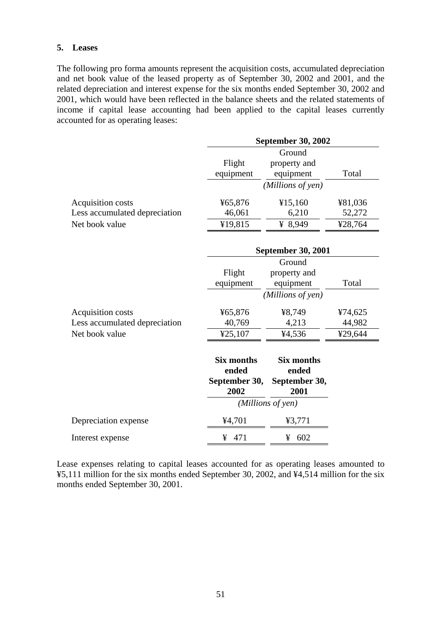### **5. Leases**

The following pro forma amounts represent the acquisition costs, accumulated depreciation and net book value of the leased property as of September 30, 2002 and 2001, and the related depreciation and interest expense for the six months ended September 30, 2002 and 2001, which would have been reflected in the balance sheets and the related statements of income if capital lease accounting had been applied to the capital leases currently accounted for as operating leases:

|                               | <b>September 30, 2002</b> |                           |         |  |
|-------------------------------|---------------------------|---------------------------|---------|--|
|                               |                           | Ground                    |         |  |
|                               | Flight                    | property and              |         |  |
|                               | equipment                 | equipment                 | Total   |  |
|                               |                           | (Millions of yen)         |         |  |
| Acquisition costs             | ¥65,876                   | ¥15,160                   | ¥81,036 |  |
| Less accumulated depreciation | 46,061                    | 6,210                     | 52,272  |  |
| Net book value                | ¥19,815                   | ¥ 8,949                   | ¥28,764 |  |
|                               |                           | <b>September 30, 2001</b> |         |  |
|                               |                           | Ground                    |         |  |
|                               | Flight                    | property and              |         |  |
|                               | equipment                 | equipment                 | Total   |  |
|                               |                           | (Millions of yen)         |         |  |
|                               |                           |                           |         |  |
| Acquisition costs             | ¥65,876                   | ¥8,749                    | ¥74,625 |  |
| Less accumulated depreciation | 40,769                    | 4,213                     | 44,982  |  |
| Net book value                | ¥25,107                   | ¥4,536                    | ¥29,644 |  |
|                               |                           |                           |         |  |
|                               | <b>Six months</b>         | <b>Six months</b>         |         |  |
|                               | ended                     | ended                     |         |  |
|                               | September 30,<br>2002     | September 30,<br>2001     |         |  |
|                               |                           |                           |         |  |
|                               |                           | (Millions of yen)         |         |  |
| Depreciation expense          | ¥4,701                    | ¥3,771                    |         |  |
| Interest expense              | 471<br>¥                  | 602<br>¥                  |         |  |

Lease expenses relating to capital leases accounted for as operating leases amounted to ¥5,111 million for the six months ended September 30, 2002, and ¥4,514 million for the six months ended September 30, 2001.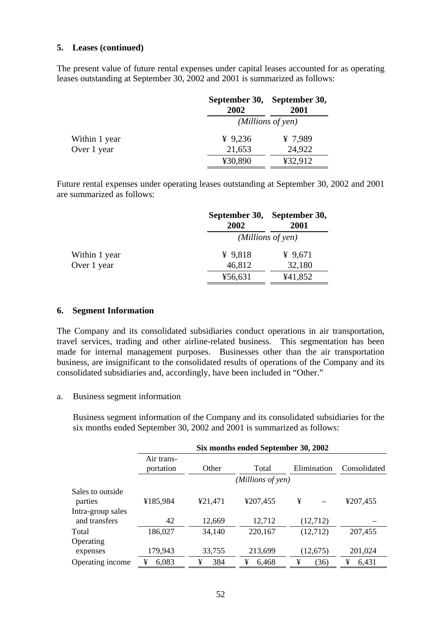The present value of future rental expenses under capital leases accounted for as operating leases outstanding at September 30, 2002 and 2001 is summarized as follows:

|               | 2002      | September 30, September 30,<br>2001 |
|---------------|-----------|-------------------------------------|
|               |           | (Millions of yen)                   |
| Within 1 year | ¥ $9,236$ | ¥ 7,989                             |
| Over 1 year   | 21,653    | 24,922                              |
|               | ¥30,890   | ¥32,912                             |

Future rental expenses under operating leases outstanding at September 30, 2002 and 2001 are summarized as follows:

|               | 2002      | September 30, September 30,<br>2001 |
|---------------|-----------|-------------------------------------|
|               |           | (Millions of yen)                   |
| Within 1 year | ¥ $9,818$ | ¥ $9,671$                           |
| Over 1 year   | 46,812    | 32,180                              |
|               | ¥56,631   | ¥41,852                             |

#### **6. Segment Information**

The Company and its consolidated subsidiaries conduct operations in air transportation, travel services, trading and other airline-related business. This segmentation has been made for internal management purposes. Businesses other than the air transportation business, are insignificant to the consolidated results of operations of the Company and its consolidated subsidiaries and, accordingly, have been included in "Other."

#### a. Business segment information

 Business segment information of the Company and its consolidated subsidiaries for the six months ended September 30, 2002 and 2001 is summarized as follows:

|                                    | Six months ended September 30, 2002 |          |                   |             |              |
|------------------------------------|-------------------------------------|----------|-------------------|-------------|--------------|
|                                    | Air trans-<br>portation             | Other    | Total             | Elimination | Consolidated |
|                                    |                                     |          | (Millions of yen) |             |              |
| Sales to outside<br>parties        | ¥185,984                            | ¥21,471  | ¥207,455          | ¥           | ¥207,455     |
| Intra-group sales<br>and transfers | 42                                  | 12,669   | 12,712            | (12,712)    |              |
| Total                              | 186,027                             | 34,140   | 220,167           | (12,712)    | 207,455      |
| Operating                          |                                     |          |                   |             |              |
| expenses                           | 179,943                             | 33,755   | 213,699           | (12,675)    | 201,024      |
| Operating income                   | ¥<br>6,083                          | 384<br>¥ | ¥<br>6.468        | ¥<br>(36)   | ¥<br>6.431   |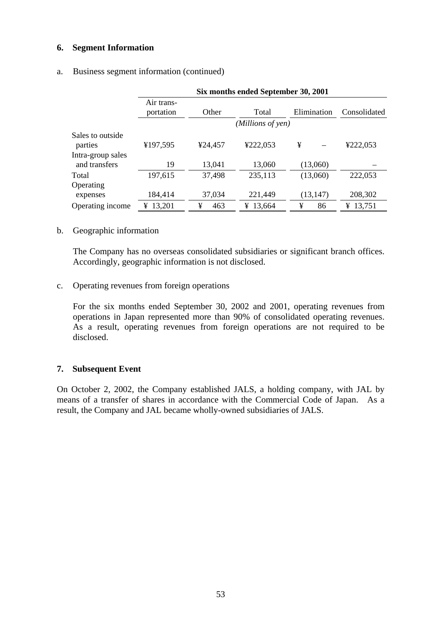### **6. Segment Information**

### a. Business segment information (continued)

|                                    | Six months ended September 30, 2001 |          |                   |             |              |
|------------------------------------|-------------------------------------|----------|-------------------|-------------|--------------|
|                                    | Air trans-<br>portation             | Other    | Total             | Elimination | Consolidated |
|                                    |                                     |          | (Millions of yen) |             |              |
| Sales to outside<br>parties        | ¥197,595                            | ¥24,457  | ¥222,053          | ¥           | ¥222,053     |
| Intra-group sales<br>and transfers | 19                                  | 13,041   | 13,060            | (13,060)    |              |
| Total                              | 197,615                             | 37,498   | 235,113           | (13,060)    | 222,053      |
| Operating<br>expenses              | 184,414                             | 37,034   | 221,449           | (13, 147)   | 208,302      |
| Operating income                   | 13,201<br>¥                         | ¥<br>463 | ¥ 13,664          | ¥<br>86     | ¥ 13,751     |

### b. Geographic information

 The Company has no overseas consolidated subsidiaries or significant branch offices. Accordingly, geographic information is not disclosed.

### c. Operating revenues from foreign operations

 For the six months ended September 30, 2002 and 2001, operating revenues from operations in Japan represented more than 90% of consolidated operating revenues. As a result, operating revenues from foreign operations are not required to be disclosed.

### **7. Subsequent Event**

On October 2, 2002, the Company established JALS, a holding company, with JAL by means of a transfer of shares in accordance with the Commercial Code of Japan. As a result, the Company and JAL became wholly-owned subsidiaries of JALS.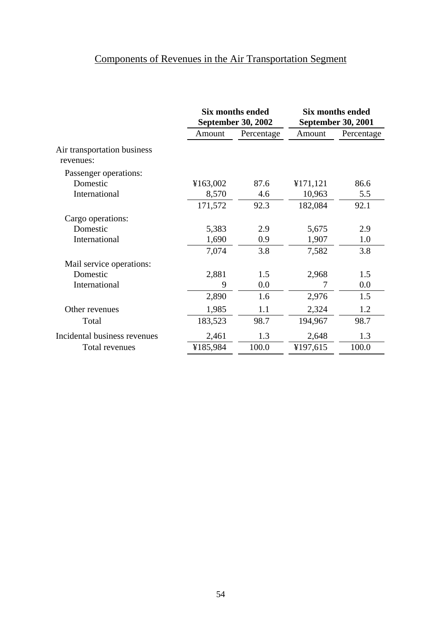# Components of Revenues in the Air Transportation Segment

|                                          | <b>Six months ended</b><br><b>September 30, 2002</b> |            |          | <b>Six months ended</b><br><b>September 30, 2001</b> |  |
|------------------------------------------|------------------------------------------------------|------------|----------|------------------------------------------------------|--|
|                                          | Amount                                               | Percentage | Amount   | Percentage                                           |  |
| Air transportation business<br>revenues: |                                                      |            |          |                                                      |  |
| Passenger operations:                    |                                                      |            |          |                                                      |  |
| Domestic                                 | ¥163,002                                             | 87.6       | ¥171,121 | 86.6                                                 |  |
| International                            | 8,570                                                | 4.6        | 10,963   | 5.5                                                  |  |
|                                          | 171,572                                              | 92.3       | 182,084  | 92.1                                                 |  |
| Cargo operations:                        |                                                      |            |          |                                                      |  |
| Domestic                                 | 5,383                                                | 2.9        | 5,675    | 2.9                                                  |  |
| International                            | 1,690                                                | 0.9        | 1,907    | 1.0                                                  |  |
|                                          | 7,074                                                | 3.8        | 7,582    | 3.8                                                  |  |
| Mail service operations:                 |                                                      |            |          |                                                      |  |
| Domestic                                 | 2,881                                                | 1.5        | 2,968    | 1.5                                                  |  |
| International                            | 9                                                    | 0.0        | 7        | 0.0                                                  |  |
|                                          | 2,890                                                | 1.6        | 2,976    | 1.5                                                  |  |
| Other revenues                           | 1,985                                                | 1.1        | 2,324    | 1.2                                                  |  |
| Total                                    | 183,523                                              | 98.7       | 194,967  | 98.7                                                 |  |
| Incidental business revenues             | 2,461                                                | 1.3        | 2,648    | 1.3                                                  |  |
| Total revenues                           | ¥185,984                                             | 100.0      | ¥197,615 | 100.0                                                |  |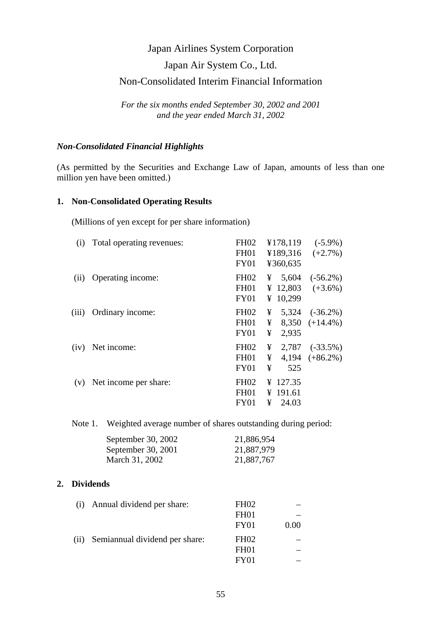# Japan Air System Co., Ltd.

# Non-Consolidated Interim Financial Information

*For the six months ended September 30, 2002 and 2001 and the year ended March 31, 2002* 

### *Non-Consolidated Financial Highlights*

(As permitted by the Securities and Exchange Law of Japan, amounts of less than one million yen have been omitted.)

## **1. Non-Consolidated Operating Results**

(Millions of yen except for per share information)

| (i)   | Total operating revenues: | <b>FH02</b>      |   | ¥178,119 | $(-5.9\%)$          |
|-------|---------------------------|------------------|---|----------|---------------------|
|       |                           | FH <sub>01</sub> |   | ¥189,316 | $(+2.7\%)$          |
|       |                           | <b>FY01</b>      |   | ¥360,635 |                     |
| (ii)  | Operating income:         | <b>FH02</b>      | ¥ |          | $5,604$ $(-56.2\%)$ |
|       |                           | <b>FH01</b>      |   | ¥ 12,803 | $(+3.6\%)$          |
|       |                           | <b>FY01</b>      |   | ¥ 10,299 |                     |
| (iii) | Ordinary income:          | <b>FH02</b>      | ¥ |          | $5,324$ $(-36.2\%)$ |
|       |                           | FH <sub>01</sub> | ¥ |          | $8,350 (+14.4\%)$   |
|       |                           | <b>FY01</b>      | ¥ | 2,935    |                     |
| (iv)  | Net income:               | <b>FH02</b>      | ¥ | 2,787    | $(-33.5\%)$         |
|       |                           | FH <sub>01</sub> | ¥ | 4,194    | $(+86.2\%)$         |
|       |                           | FY01             | ¥ | 525      |                     |
| (v)   | Net income per share:     | <b>FH02</b>      |   | ¥ 127.35 |                     |
|       |                           | <b>FH01</b>      |   | ¥ 191.61 |                     |
|       |                           | FY01             | ¥ | 24.03    |                     |
|       |                           |                  |   |          |                     |

Note 1. Weighted average number of shares outstanding during period:

| September 30, 2002 | 21,886,954 |
|--------------------|------------|
| September 30, 2001 | 21,887,979 |
| March 31, 2002     | 21,887,767 |

## **2. Dividends**

| (i)  | Annual dividend per share:     | FH <sub>02</sub> |      |
|------|--------------------------------|------------------|------|
|      |                                | FH <sub>01</sub> |      |
|      |                                | FY01             | 0.00 |
| (ii) | Semiannual dividend per share: | FH <sub>02</sub> |      |
|      |                                | FH <sub>01</sub> |      |
|      |                                | FY01             |      |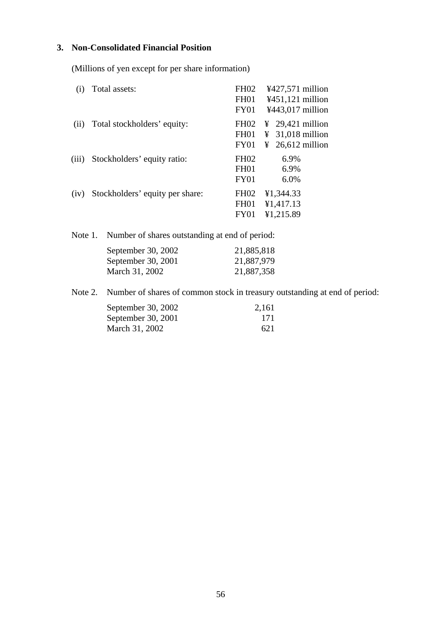# **3. Non-Consolidated Financial Position**

(Millions of yen except for per share information)

| (1)   | Total assets:                   | <b>FH02</b>      | ¥427,571 million             |
|-------|---------------------------------|------------------|------------------------------|
|       |                                 | FH <sub>01</sub> | $4451,121$ million           |
|       |                                 | FY01             | ¥443,017 million             |
| (ii)  | Total stockholders' equity:     | FH <sub>02</sub> | $\frac{1}{2}$ 29,421 million |
|       |                                 | <b>FH01</b>      | $31,018$ million<br>¥        |
|       |                                 | FY01             | $\frac{1}{2}$ 26,612 million |
| (iii) | Stockholders' equity ratio:     | <b>FH02</b>      | 6.9%                         |
|       |                                 | <b>FH01</b>      | 6.9%                         |
|       |                                 | FY01             | 6.0%                         |
| (iv)  | Stockholders' equity per share: | FH <sub>02</sub> | ¥1,344.33                    |
|       |                                 | FH <sub>01</sub> | ¥1,417.13                    |
|       |                                 | FY01             | ¥1,215.89                    |

Note 1. Number of shares outstanding at end of period:

| September 30, 2002 | 21,885,818 |
|--------------------|------------|
| September 30, 2001 | 21,887,979 |
| March 31, 2002     | 21,887,358 |

Note 2. Number of shares of common stock in treasury outstanding at end of period:

| September 30, 2002 | 2,161 |
|--------------------|-------|
| September 30, 2001 | -171  |
| March 31, 2002     | 621   |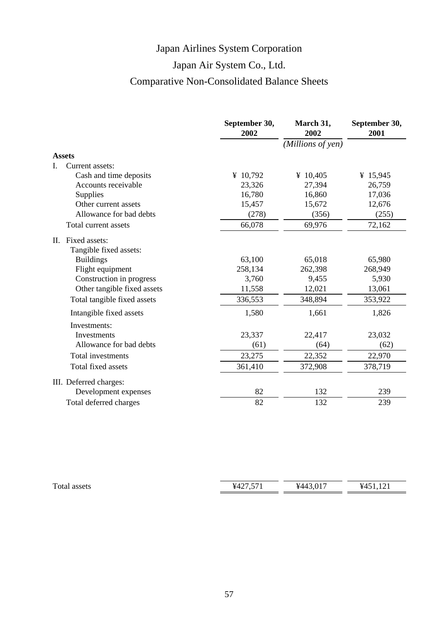# Japan Air System Co., Ltd.

# Comparative Non-Consolidated Balance Sheets

|    |                             | September 30,<br>2002 | March 31,<br>2002 | September 30,<br>2001 |
|----|-----------------------------|-----------------------|-------------------|-----------------------|
|    |                             |                       | (Millions of yen) |                       |
|    | <b>Assets</b>               |                       |                   |                       |
| I. | Current assets:             |                       |                   |                       |
|    | Cash and time deposits      | ¥ $10,792$            | ¥ $10,405$        | ¥ 15,945              |
|    | Accounts receivable         | 23,326                | 27,394            | 26,759                |
|    | Supplies                    | 16,780                | 16,860            | 17,036                |
|    | Other current assets        | 15,457                | 15,672            | 12,676                |
|    | Allowance for bad debts     | (278)                 | (356)             | (255)                 |
|    | Total current assets        | 66,078                | 69,976            | 72,162                |
|    | II. Fixed assets:           |                       |                   |                       |
|    | Tangible fixed assets:      |                       |                   |                       |
|    | <b>Buildings</b>            | 63,100                | 65,018            | 65,980                |
|    | Flight equipment            | 258,134               | 262,398           | 268,949               |
|    | Construction in progress    | 3,760                 | 9,455             | 5,930                 |
|    | Other tangible fixed assets | 11,558                | 12,021            | 13,061                |
|    | Total tangible fixed assets | 336,553               | 348,894           | 353,922               |
|    | Intangible fixed assets     | 1,580                 | 1,661             | 1,826                 |
|    | Investments:                |                       |                   |                       |
|    | Investments                 | 23,337                | 22,417            | 23,032                |
|    | Allowance for bad debts     | (61)                  | (64)              | (62)                  |
|    | Total investments           | 23,275                | 22,352            | 22,970                |
|    | Total fixed assets          | 361,410               | 372,908           | 378,719               |
|    | III. Deferred charges:      |                       |                   |                       |
|    | Development expenses        | 82                    | 132               | 239                   |
|    | Total deferred charges      | 82                    | 132               | 239                   |

| Total assets | $Y_A$ 27.57 | ¥443<br>$\Omega$ | $\sqrt{1}$<br>74 E 1 |
|--------------|-------------|------------------|----------------------|
|              |             |                  |                      |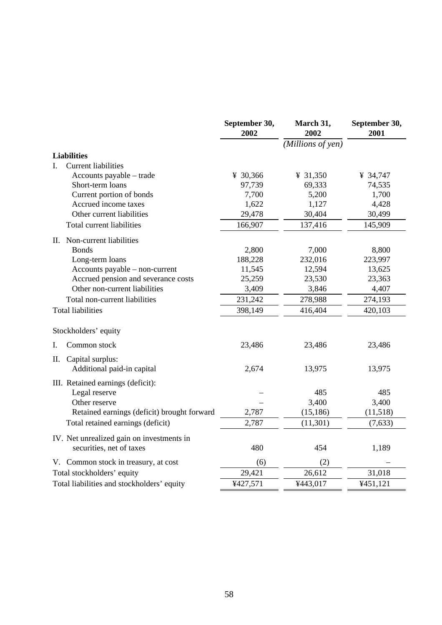|                                                      | September 30,<br>2002 | March 31,<br>2002 | September 30,<br>2001 |
|------------------------------------------------------|-----------------------|-------------------|-----------------------|
|                                                      |                       | (Millions of yen) |                       |
| <b>Liabilities</b>                                   |                       |                   |                       |
| <b>Current liabilities</b><br>L.                     |                       |                   |                       |
| Accounts payable – trade                             | ¥ 30,366              | ¥ 31,350          | ¥ 34,747              |
| Short-term loans                                     | 97,739                | 69,333            | 74,535                |
| Current portion of bonds                             | 7,700                 | 5,200             | 1,700                 |
| Accrued income taxes                                 | 1,622                 | 1,127             | 4,428                 |
| Other current liabilities                            | 29,478                | 30,404            | 30,499                |
| Total current liabilities                            | 166,907               | 137,416           | 145,909               |
| II. Non-current liabilities                          |                       |                   |                       |
| <b>Bonds</b>                                         | 2,800                 | 7,000             | 8,800                 |
| Long-term loans                                      | 188,228               | 232,016           | 223,997               |
| Accounts payable – non-current                       | 11,545                | 12,594            | 13,625                |
| Accrued pension and severance costs                  | 25,259                | 23,530            | 23,363                |
| Other non-current liabilities                        | 3,409                 | 3,846             | 4,407                 |
| Total non-current liabilities                        | 231,242               | 278,988           | 274,193               |
| <b>Total liabilities</b>                             | 398,149               | 416,404           | 420,103               |
| Stockholders' equity                                 |                       |                   |                       |
| Common stock<br>I.                                   | 23,486                | 23,486            | 23,486                |
| Π.<br>Capital surplus:<br>Additional paid-in capital | 2,674                 | 13,975            | 13,975                |
| III. Retained earnings (deficit):                    |                       |                   |                       |
| Legal reserve                                        |                       | 485               | 485                   |
| Other reserve                                        |                       | 3,400             | 3,400                 |
| Retained earnings (deficit) brought forward          | 2,787                 | (15, 186)         | (11,518)              |
| Total retained earnings (deficit)                    | 2,787                 | (11, 301)         | (7, 633)              |
| IV. Net unrealized gain on investments in            |                       |                   |                       |
| securities, net of taxes                             | 480                   | 454               | 1,189                 |
| V. Common stock in treasury, at cost                 | (6)                   | (2)               |                       |
| Total stockholders' equity                           | 29,421                | 26,612            | 31,018                |
| Total liabilities and stockholders' equity           | ¥427,571              | ¥443,017          | ¥451,121              |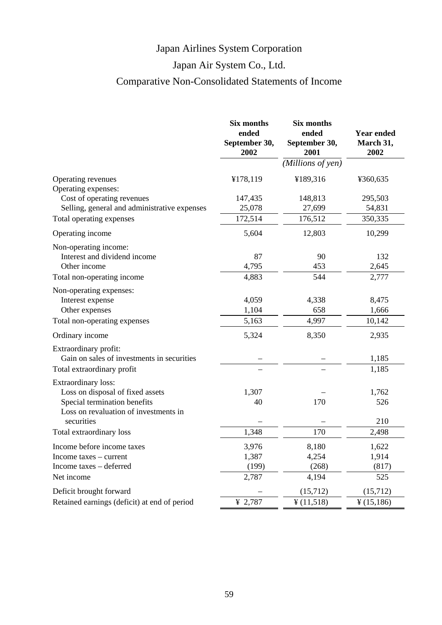# Japan Air System Co., Ltd.

# Comparative Non-Consolidated Statements of Income

|                                                                          | <b>Six months</b><br>ended<br>September 30,<br>2002 | Six months<br>ended<br>September 30,<br>2001 | <b>Year ended</b><br>March 31,<br>2002 |
|--------------------------------------------------------------------------|-----------------------------------------------------|----------------------------------------------|----------------------------------------|
|                                                                          |                                                     | (Millions of yen)                            |                                        |
| Operating revenues                                                       | ¥178,119                                            | ¥189,316                                     | ¥360,635                               |
| Operating expenses:                                                      |                                                     |                                              |                                        |
| Cost of operating revenues                                               | 147,435                                             | 148,813                                      | 295,503<br>54,831                      |
| Selling, general and administrative expenses<br>Total operating expenses | 25,078<br>172,514                                   | 27,699<br>176,512                            | 350,335                                |
|                                                                          |                                                     |                                              |                                        |
| Operating income                                                         | 5,604                                               | 12,803                                       | 10,299                                 |
| Non-operating income:                                                    |                                                     |                                              |                                        |
| Interest and dividend income<br>Other income                             | 87                                                  | 90                                           | 132                                    |
|                                                                          | 4,795                                               | 453<br>544                                   | 2,645<br>2,777                         |
| Total non-operating income                                               | 4,883                                               |                                              |                                        |
| Non-operating expenses:                                                  | 4,059                                               | 4,338                                        |                                        |
| Interest expense<br>Other expenses                                       | 1,104                                               | 658                                          | 8,475<br>1,666                         |
| Total non-operating expenses                                             | 5,163                                               | 4,997                                        | 10,142                                 |
|                                                                          |                                                     |                                              |                                        |
| Ordinary income                                                          | 5,324                                               | 8,350                                        | 2,935                                  |
| Extraordinary profit:                                                    |                                                     |                                              |                                        |
| Gain on sales of investments in securities                               |                                                     |                                              | 1,185<br>1,185                         |
| Total extraordinary profit                                               |                                                     |                                              |                                        |
| Extraordinary loss:                                                      |                                                     |                                              |                                        |
| Loss on disposal of fixed assets<br>Special termination benefits         | 1,307<br>40                                         | 170                                          | 1,762<br>526                           |
| Loss on revaluation of investments in                                    |                                                     |                                              |                                        |
| securities                                                               |                                                     |                                              | 210                                    |
| Total extraordinary loss                                                 | 1,348                                               | 170                                          | 2,498                                  |
| Income before income taxes                                               | 3,976                                               | 8,180                                        | 1,622                                  |
| Income taxes – current                                                   | 1,387                                               | 4,254                                        | 1,914                                  |
| Income taxes - deferred                                                  | (199)                                               | (268)                                        | (817)                                  |
| Net income                                                               | 2,787                                               | 4,194                                        | 525                                    |
| Deficit brought forward                                                  |                                                     | (15,712)                                     | (15, 712)                              |
| Retained earnings (deficit) at end of period                             | ¥ 2,787                                             | ¥ (11,518)                                   | ¥ (15,186)                             |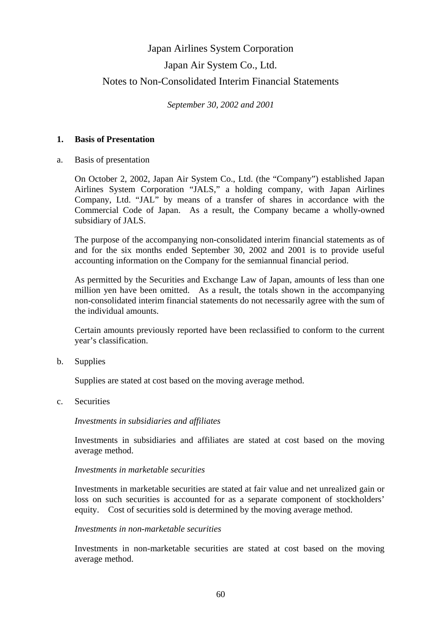# Japan Airlines System Corporation Japan Air System Co., Ltd. Notes to Non-Consolidated Interim Financial Statements

*September 30, 2002 and 2001*

## **1. Basis of Presentation**

a. Basis of presentation

 On October 2, 2002, Japan Air System Co., Ltd. (the "Company") established Japan Airlines System Corporation "JALS," a holding company, with Japan Airlines Company, Ltd. "JAL" by means of a transfer of shares in accordance with the Commercial Code of Japan. As a result, the Company became a wholly-owned subsidiary of JALS.

 The purpose of the accompanying non-consolidated interim financial statements as of and for the six months ended September 30, 2002 and 2001 is to provide useful accounting information on the Company for the semiannual financial period.

 As permitted by the Securities and Exchange Law of Japan, amounts of less than one million yen have been omitted. As a result, the totals shown in the accompanying non-consolidated interim financial statements do not necessarily agree with the sum of the individual amounts.

 Certain amounts previously reported have been reclassified to conform to the current year's classification.

b. Supplies

Supplies are stated at cost based on the moving average method.

c. Securities

### *Investments in subsidiaries and affiliates*

 Investments in subsidiaries and affiliates are stated at cost based on the moving average method.

## *Investments in marketable securities*

 Investments in marketable securities are stated at fair value and net unrealized gain or loss on such securities is accounted for as a separate component of stockholders' equity. Cost of securities sold is determined by the moving average method.

### *Investments in non-marketable securities*

 Investments in non-marketable securities are stated at cost based on the moving average method.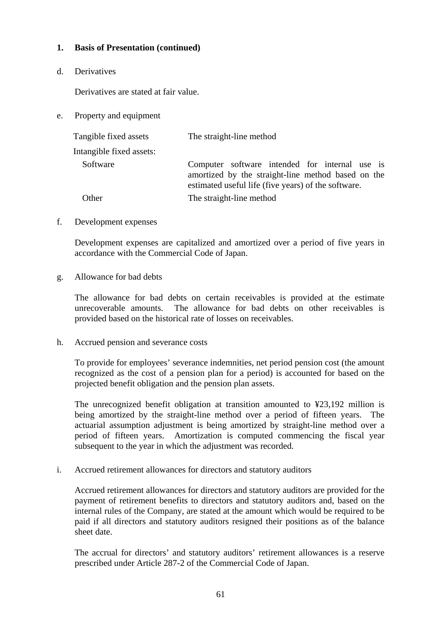## **1. Basis of Presentation (continued)**

d. Derivatives

Derivatives are stated at fair value.

e. Property and equipment

| Tangible fixed assets    | The straight-line method                                                                                                                                    |
|--------------------------|-------------------------------------------------------------------------------------------------------------------------------------------------------------|
| Intangible fixed assets: |                                                                                                                                                             |
| Software                 | Computer software intended for internal use is<br>amortized by the straight-line method based on the<br>estimated useful life (five years) of the software. |
| Other                    | The straight-line method                                                                                                                                    |

f. Development expenses

 Development expenses are capitalized and amortized over a period of five years in accordance with the Commercial Code of Japan.

g. Allowance for bad debts

 The allowance for bad debts on certain receivables is provided at the estimate unrecoverable amounts. The allowance for bad debts on other receivables is provided based on the historical rate of losses on receivables.

h. Accrued pension and severance costs

 To provide for employees' severance indemnities, net period pension cost (the amount recognized as the cost of a pension plan for a period) is accounted for based on the projected benefit obligation and the pension plan assets.

 The unrecognized benefit obligation at transition amounted to ¥23,192 million is being amortized by the straight-line method over a period of fifteen years. The actuarial assumption adjustment is being amortized by straight-line method over a period of fifteen years. Amortization is computed commencing the fiscal year subsequent to the year in which the adjustment was recorded.

i. Accrued retirement allowances for directors and statutory auditors

 Accrued retirement allowances for directors and statutory auditors are provided for the payment of retirement benefits to directors and statutory auditors and, based on the internal rules of the Company, are stated at the amount which would be required to be paid if all directors and statutory auditors resigned their positions as of the balance sheet date.

 The accrual for directors' and statutory auditors' retirement allowances is a reserve prescribed under Article 287-2 of the Commercial Code of Japan.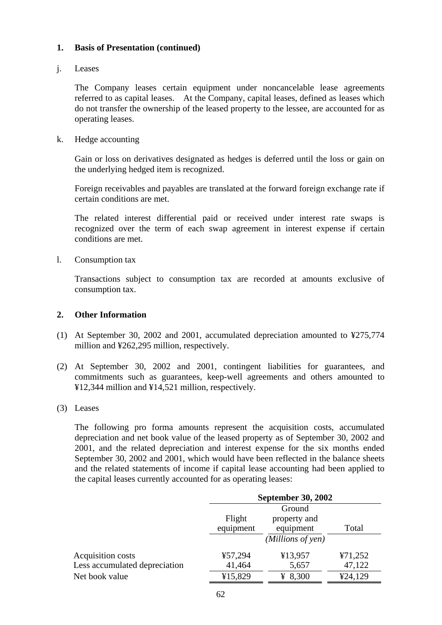## **1. Basis of Presentation (continued)**

## j. Leases

 The Company leases certain equipment under noncancelable lease agreements referred to as capital leases. At the Company, capital leases, defined as leases which do not transfer the ownership of the leased property to the lessee, are accounted for as operating leases.

k. Hedge accounting

 Gain or loss on derivatives designated as hedges is deferred until the loss or gain on the underlying hedged item is recognized.

 Foreign receivables and payables are translated at the forward foreign exchange rate if certain conditions are met.

 The related interest differential paid or received under interest rate swaps is recognized over the term of each swap agreement in interest expense if certain conditions are met.

l. Consumption tax

 Transactions subject to consumption tax are recorded at amounts exclusive of consumption tax.

## **2. Other Information**

- (1) At September 30, 2002 and 2001, accumulated depreciation amounted to ¥275,774 million and ¥262,295 million, respectively.
- (2) At September 30, 2002 and 2001, contingent liabilities for guarantees, and commitments such as guarantees, keep-well agreements and others amounted to ¥12,344 million and ¥14,521 million, respectively.

### (3) Leases

 The following pro forma amounts represent the acquisition costs, accumulated depreciation and net book value of the leased property as of September 30, 2002 and 2001, and the related depreciation and interest expense for the six months ended September 30, 2002 and 2001, which would have been reflected in the balance sheets and the related statements of income if capital lease accounting had been applied to the capital leases currently accounted for as operating leases:

|                               |           | <b>September 30, 2002</b> |         |  |
|-------------------------------|-----------|---------------------------|---------|--|
|                               |           | Ground                    |         |  |
|                               | Flight    | property and              |         |  |
|                               | equipment | equipment                 | Total   |  |
|                               |           | (Millions of yen)         |         |  |
| Acquisition costs             | ¥57,294   | ¥13,957                   | ¥71,252 |  |
| Less accumulated depreciation | 41,464    | 5,657                     | 47,122  |  |
| Net book value                | ¥15,829   | ¥ 8,300                   | 424,129 |  |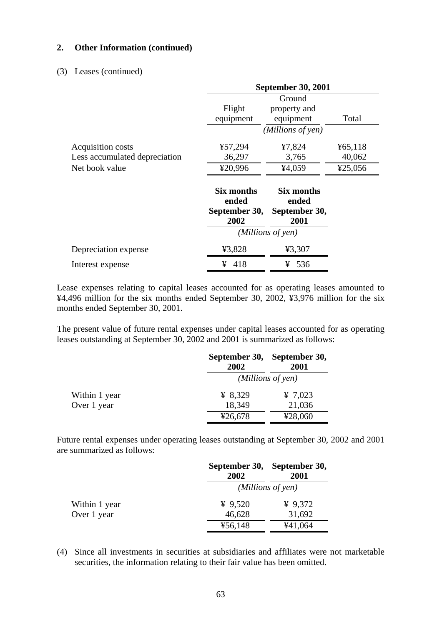### **2. Other Information (continued)**

### (3) Leases (continued)

|                               | <b>September 30, 2001</b>                    |                                              |         |
|-------------------------------|----------------------------------------------|----------------------------------------------|---------|
|                               |                                              | Ground                                       |         |
|                               | Flight                                       | property and                                 |         |
|                               | equipment                                    | equipment                                    | Total   |
|                               |                                              | (Millions of yen)                            |         |
| Acquisition costs             | ¥57,294                                      | ¥7,824                                       | 465,118 |
| Less accumulated depreciation | 36,297                                       | 3,765                                        | 40,062  |
| Net book value                | ¥20,996                                      | ¥4,059                                       | ¥25,056 |
|                               | Six months<br>ended<br>September 30,<br>2002 | Six months<br>ended<br>September 30,<br>2001 |         |
|                               |                                              | (Millions of yen)                            |         |
| Depreciation expense          | ¥3,828                                       | ¥3,307                                       |         |
| Interest expense              | 418<br>¥                                     | 536<br>¥                                     |         |

Lease expenses relating to capital leases accounted for as operating leases amounted to ¥4,496 million for the six months ended September 30, 2002, ¥3,976 million for the six months ended September 30, 2001.

The present value of future rental expenses under capital leases accounted for as operating leases outstanding at September 30, 2002 and 2001 is summarized as follows:

|               | 2002    | September 30, September 30,<br>2001 |  |  |
|---------------|---------|-------------------------------------|--|--|
|               |         | (Millions of yen)                   |  |  |
| Within 1 year | ¥ 8,329 | ¥ 7,023                             |  |  |
| Over 1 year   | 18,349  | 21,036                              |  |  |
|               | ¥26,678 | ¥28,060                             |  |  |

Future rental expenses under operating leases outstanding at September 30, 2002 and 2001 are summarized as follows:

|               | 2002              | September 30, September 30,<br>2001 |  |
|---------------|-------------------|-------------------------------------|--|
|               | (Millions of yen) |                                     |  |
| Within 1 year | ¥ $9,520$         | ¥ $9,372$                           |  |
| Over 1 year   | 46,628            | 31,692                              |  |
|               | ¥56,148           | ¥41,064                             |  |

(4) Since all investments in securities at subsidiaries and affiliates were not marketable securities, the information relating to their fair value has been omitted.